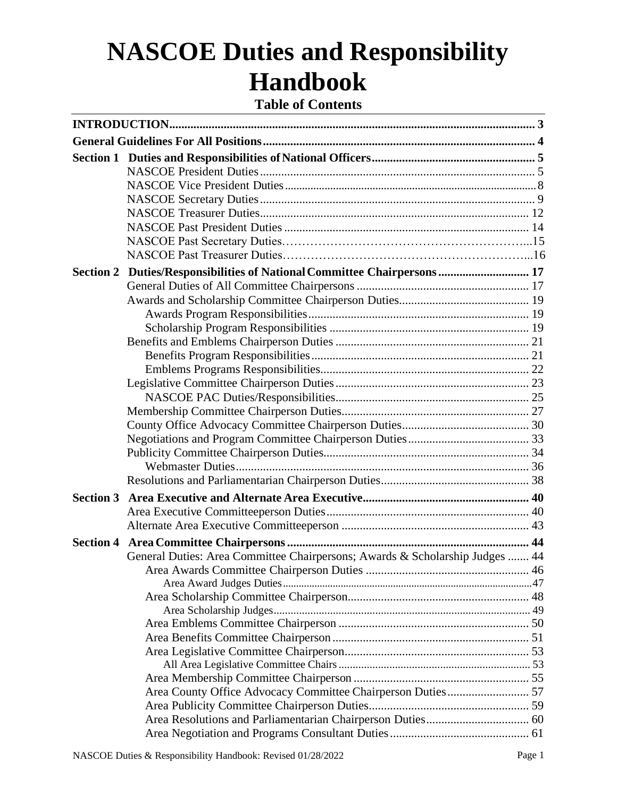# **NASCOE Duties and Responsibility Handbook**

**Table of Contents**

|                  | Section 2 Duties/Responsibilities of National Committee Chairpersons  17     |  |
|------------------|------------------------------------------------------------------------------|--|
|                  |                                                                              |  |
|                  |                                                                              |  |
|                  |                                                                              |  |
|                  |                                                                              |  |
|                  |                                                                              |  |
|                  |                                                                              |  |
|                  |                                                                              |  |
|                  |                                                                              |  |
|                  |                                                                              |  |
|                  |                                                                              |  |
|                  |                                                                              |  |
|                  |                                                                              |  |
|                  |                                                                              |  |
|                  |                                                                              |  |
|                  |                                                                              |  |
| <b>Section 3</b> |                                                                              |  |
|                  |                                                                              |  |
|                  |                                                                              |  |
| <b>Section 4</b> |                                                                              |  |
|                  | General Duties: Area Committee Chairpersons; Awards & Scholarship Judges  44 |  |
|                  |                                                                              |  |
|                  |                                                                              |  |
|                  |                                                                              |  |
|                  |                                                                              |  |
|                  |                                                                              |  |
|                  |                                                                              |  |
|                  |                                                                              |  |
|                  |                                                                              |  |
|                  |                                                                              |  |
|                  | Area County Office Advocacy Committee Chairperson Duties 57                  |  |
|                  |                                                                              |  |
|                  |                                                                              |  |
|                  |                                                                              |  |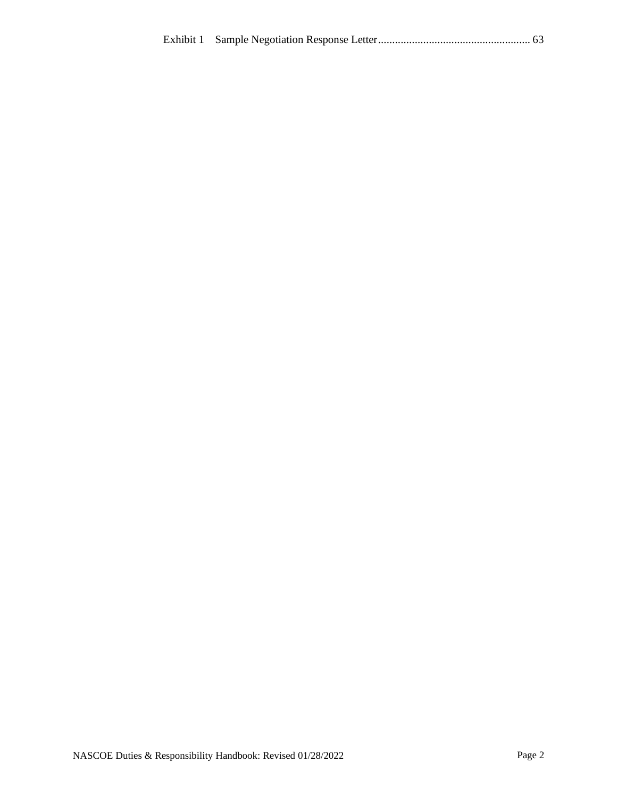|--|--|--|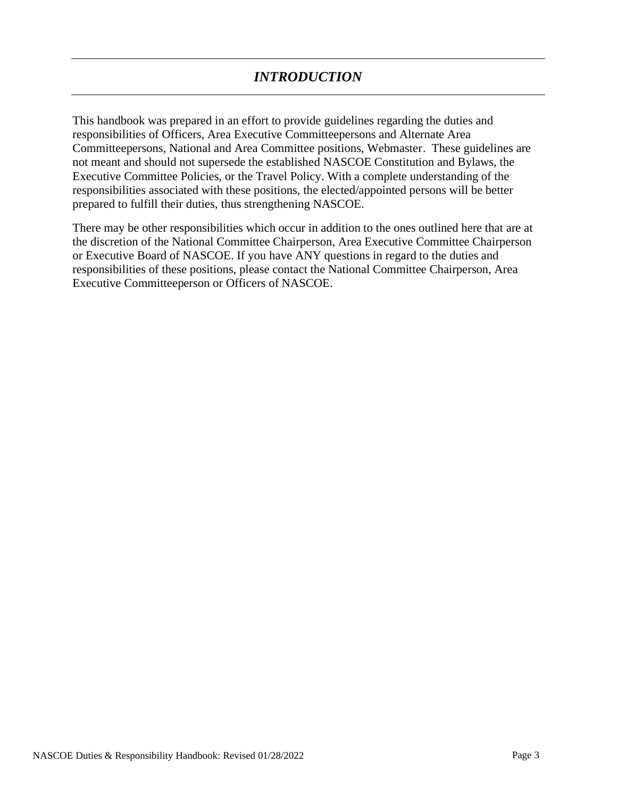<span id="page-2-0"></span>This handbook was prepared in an effort to provide guidelines regarding the duties and responsibilities of Officers, Area Executive Committeepersons and Alternate Area Committeepersons, National and Area Committee positions, Webmaster. These guidelines are not meant and should not supersede the established NASCOE Constitution and Bylaws, the Executive Committee Policies, or the Travel Policy. With a complete understanding of the responsibilities associated with these positions, the elected/appointed persons will be better prepared to fulfill their duties, thus strengthening NASCOE.

There may be other responsibilities which occur in addition to the ones outlined here that are at the discretion of the National Committee Chairperson, Area Executive Committee Chairperson or Executive Board of NASCOE. If you have ANY questions in regard to the duties and responsibilities of these positions, please contact the National Committee Chairperson, Area Executive Committeeperson or Officers of NASCOE.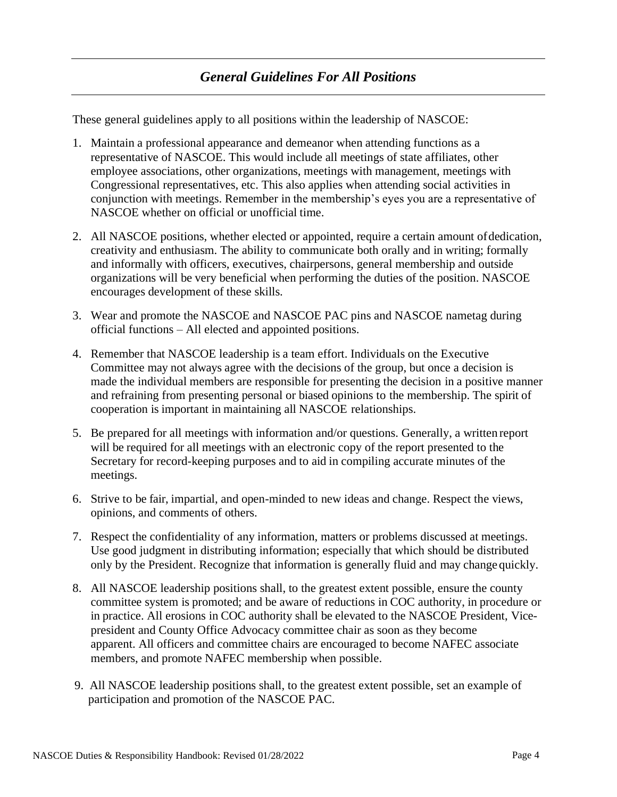<span id="page-3-0"></span>These general guidelines apply to all positions within the leadership of NASCOE:

- 1. Maintain a professional appearance and demeanor when attending functions as a representative of NASCOE. This would include all meetings of state affiliates, other employee associations, other organizations, meetings with management, meetings with Congressional representatives, etc. This also applies when attending social activities in conjunction with meetings. Remember in the membership's eyes you are a representative of NASCOE whether on official or unofficial time.
- 2. All NASCOE positions, whether elected or appointed, require a certain amount ofdedication, creativity and enthusiasm. The ability to communicate both orally and in writing; formally and informally with officers, executives, chairpersons, general membership and outside organizations will be very beneficial when performing the duties of the position. NASCOE encourages development of these skills.
- 3. Wear and promote the NASCOE and NASCOE PAC pins and NASCOE nametag during official functions – All elected and appointed positions.
- 4. Remember that NASCOE leadership is a team effort. Individuals on the Executive Committee may not always agree with the decisions of the group, but once a decision is made the individual members are responsible for presenting the decision in a positive manner and refraining from presenting personal or biased opinions to the membership. The spirit of cooperation is important in maintaining all NASCOE relationships.
- 5. Be prepared for all meetings with information and/or questions. Generally, a written report will be required for all meetings with an electronic copy of the report presented to the Secretary for record-keeping purposes and to aid in compiling accurate minutes of the meetings.
- 6. Strive to be fair, impartial, and open-minded to new ideas and change. Respect the views, opinions, and comments of others.
- 7. Respect the confidentiality of any information, matters or problems discussed at meetings. Use good judgment in distributing information; especially that which should be distributed only by the President. Recognize that information is generally fluid and may changequickly.
- 8. All NASCOE leadership positions shall, to the greatest extent possible, ensure the county committee system is promoted; and be aware of reductions in COC authority, in procedure or in practice. All erosions in COC authority shall be elevated to the NASCOE President, Vicepresident and County Office Advocacy committee chair as soon as they become apparent. All officers and committee chairs are encouraged to become NAFEC associate members, and promote NAFEC membership when possible.
- 9. All NASCOE leadership positions shall, to the greatest extent possible, set an example of participation and promotion of the NASCOE PAC.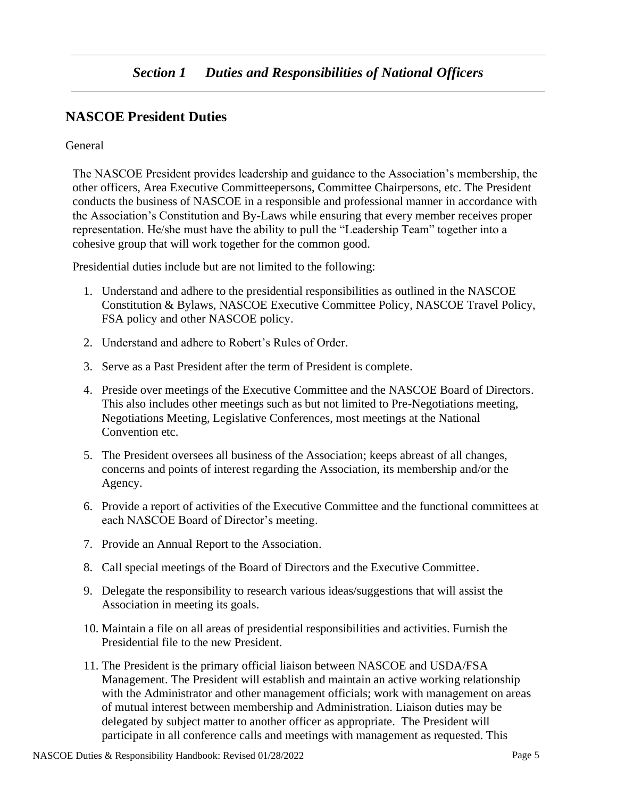# <span id="page-4-1"></span><span id="page-4-0"></span>**NASCOE President Duties**

## **General**

The NASCOE President provides leadership and guidance to the Association's membership, the other officers, Area Executive Committeepersons, Committee Chairpersons, etc. The President conducts the business of NASCOE in a responsible and professional manner in accordance with the Association's Constitution and By-Laws while ensuring that every member receives proper representation. He/she must have the ability to pull the "Leadership Team" together into a cohesive group that will work together for the common good.

Presidential duties include but are not limited to the following:

- 1. Understand and adhere to the presidential responsibilities as outlined in the NASCOE Constitution & Bylaws, NASCOE Executive Committee Policy, NASCOE Travel Policy, FSA policy and other NASCOE policy.
- 2. Understand and adhere to Robert's Rules of Order.
- 3. Serve as a Past President after the term of President is complete.
- 4. Preside over meetings of the Executive Committee and the NASCOE Board of Directors. This also includes other meetings such as but not limited to Pre-Negotiations meeting, Negotiations Meeting, Legislative Conferences, most meetings at the National Convention etc.
- 5. The President oversees all business of the Association; keeps abreast of all changes, concerns and points of interest regarding the Association, its membership and/or the Agency.
- 6. Provide a report of activities of the Executive Committee and the functional committees at each NASCOE Board of Director's meeting.
- 7. Provide an Annual Report to the Association.
- 8. Call special meetings of the Board of Directors and the Executive Committee.
- 9. Delegate the responsibility to research various ideas/suggestions that will assist the Association in meeting its goals.
- 10. Maintain a file on all areas of presidential responsibilities and activities. Furnish the Presidential file to the new President.
- 11. The President is the primary official liaison between NASCOE and USDA/FSA Management. The President will establish and maintain an active working relationship with the Administrator and other management officials; work with management on areas of mutual interest between membership and Administration. Liaison duties may be delegated by subject matter to another officer as appropriate. The President will participate in all conference calls and meetings with management as requested. This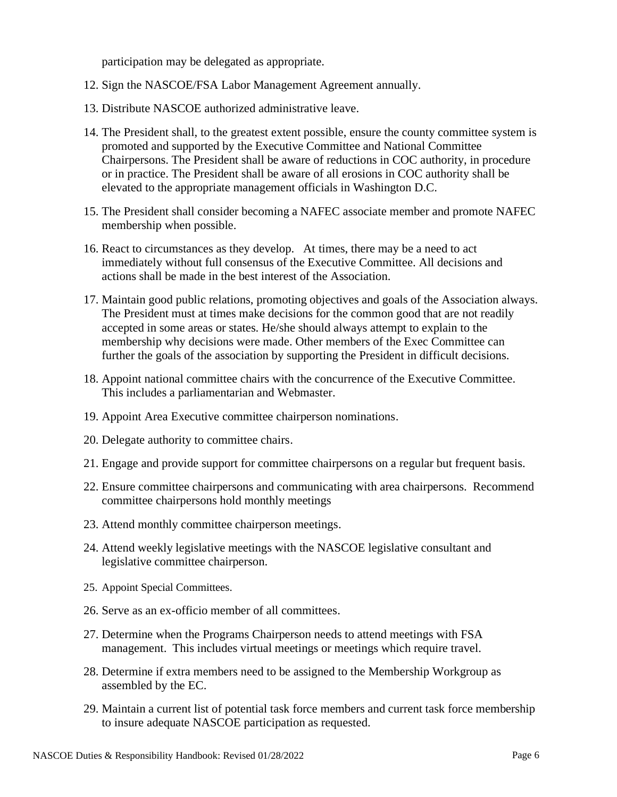participation may be delegated as appropriate.

- 12. Sign the NASCOE/FSA Labor Management Agreement annually.
- 13. Distribute NASCOE authorized administrative leave.
- 14. The President shall, to the greatest extent possible, ensure the county committee system is promoted and supported by the Executive Committee and National Committee Chairpersons. The President shall be aware of reductions in COC authority, in procedure or in practice. The President shall be aware of all erosions in COC authority shall be elevated to the appropriate management officials in Washington D.C.
- 15. The President shall consider becoming a NAFEC associate member and promote NAFEC membership when possible.
- 16. React to circumstances as they develop. At times, there may be a need to act immediately without full consensus of the Executive Committee. All decisions and actions shall be made in the best interest of the Association.
- 17. Maintain good public relations, promoting objectives and goals of the Association always. The President must at times make decisions for the common good that are not readily accepted in some areas or states. He/she should always attempt to explain to the membership why decisions were made. Other members of the Exec Committee can further the goals of the association by supporting the President in difficult decisions.
- 18. Appoint national committee chairs with the concurrence of the Executive Committee. This includes a parliamentarian and Webmaster.
- 19. Appoint Area Executive committee chairperson nominations.
- 20. Delegate authority to committee chairs.
- 21. Engage and provide support for committee chairpersons on a regular but frequent basis.
- 22. Ensure committee chairpersons and communicating with area chairpersons. Recommend committee chairpersons hold monthly meetings
- 23. Attend monthly committee chairperson meetings.
- 24. Attend weekly legislative meetings with the NASCOE legislative consultant and legislative committee chairperson.
- 25. Appoint Special Committees.
- 26. Serve as an ex-officio member of all committees.
- 27. Determine when the Programs Chairperson needs to attend meetings with FSA management. This includes virtual meetings or meetings which require travel.
- 28. Determine if extra members need to be assigned to the Membership Workgroup as assembled by the EC.
- 29. Maintain a current list of potential task force members and current task force membership to insure adequate NASCOE participation as requested.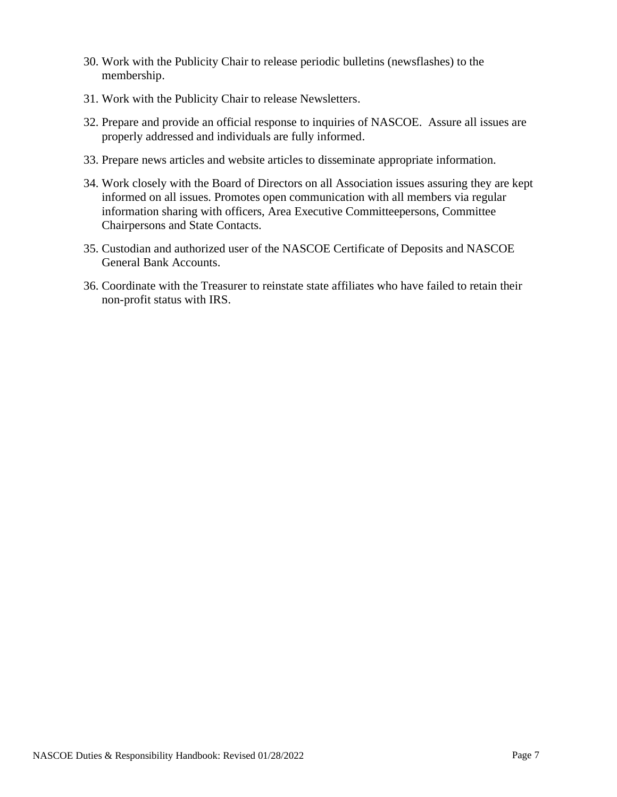- 30. Work with the Publicity Chair to release periodic bulletins (newsflashes) to the membership.
- 31. Work with the Publicity Chair to release Newsletters.
- 32. Prepare and provide an official response to inquiries of NASCOE. Assure all issues are properly addressed and individuals are fully informed.
- 33. Prepare news articles and website articles to disseminate appropriate information.
- 34. Work closely with the Board of Directors on all Association issues assuring they are kept informed on all issues. Promotes open communication with all members via regular information sharing with officers, Area Executive Committeepersons, Committee Chairpersons and State Contacts.
- 35. Custodian and authorized user of the NASCOE Certificate of Deposits and NASCOE General Bank Accounts.
- 36. Coordinate with the Treasurer to reinstate state affiliates who have failed to retain their non-profit status with IRS.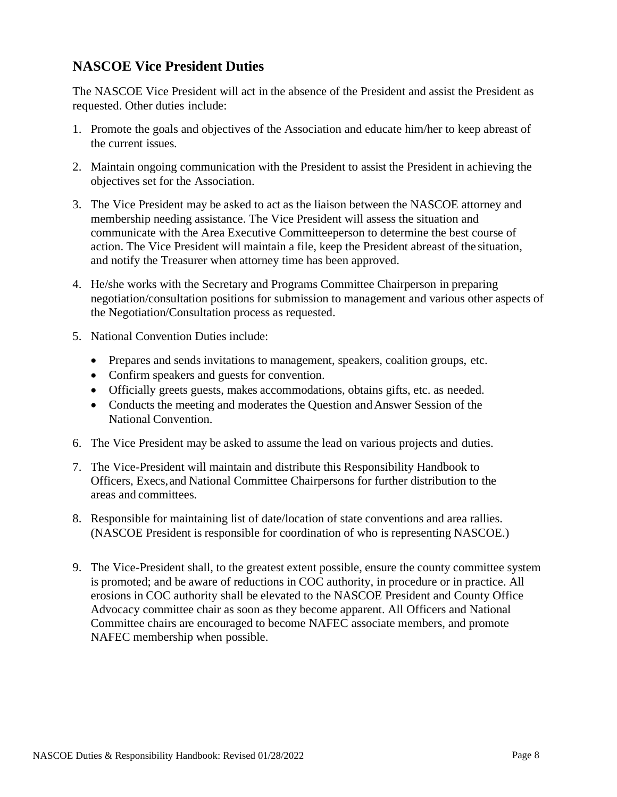## **NASCOE Vice President Duties**

The NASCOE Vice President will act in the absence of the President and assist the President as requested. Other duties include:

- 1. Promote the goals and objectives of the Association and educate him/her to keep abreast of the current issues.
- 2. Maintain ongoing communication with the President to assist the President in achieving the objectives set for the Association.
- 3. The Vice President may be asked to act as the liaison between the NASCOE attorney and membership needing assistance. The Vice President will assess the situation and communicate with the Area Executive Committeeperson to determine the best course of action. The Vice President will maintain a file, keep the President abreast of the situation, and notify the Treasurer when attorney time has been approved.
- 4. He/she works with the Secretary and Programs Committee Chairperson in preparing negotiation/consultation positions for submission to management and various other aspects of the Negotiation/Consultation process as requested.
- 5. National Convention Duties include:
	- Prepares and sends invitations to management, speakers, coalition groups, etc.
	- Confirm speakers and guests for convention.
	- Officially greets guests, makes accommodations, obtains gifts, etc. as needed.
	- Conducts the meeting and moderates the Question and Answer Session of the National Convention.
- 6. The Vice President may be asked to assume the lead on various projects and duties.
- 7. The Vice-President will maintain and distribute this Responsibility Handbook to Officers, Execs,and National Committee Chairpersons for further distribution to the areas and committees.
- 8. Responsible for maintaining list of date/location of state conventions and area rallies. (NASCOE President is responsible for coordination of who is representing NASCOE.)
- 9. The Vice-President shall, to the greatest extent possible, ensure the county committee system is promoted; and be aware of reductions in COC authority, in procedure or in practice. All erosions in COC authority shall be elevated to the NASCOE President and County Office Advocacy committee chair as soon as they become apparent. All Officers and National Committee chairs are encouraged to become NAFEC associate members, and promote NAFEC membership when possible.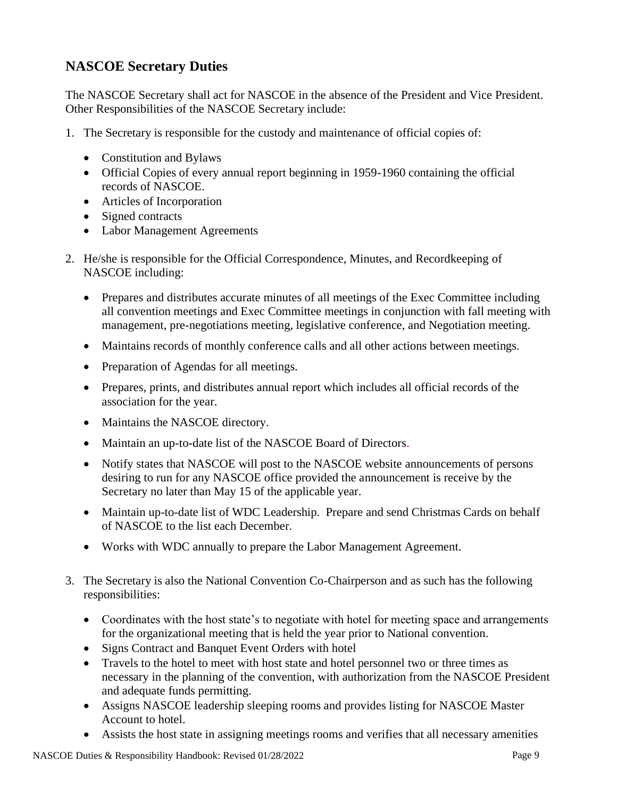# <span id="page-8-0"></span>**NASCOE Secretary Duties**

The NASCOE Secretary shall act for NASCOE in the absence of the President and Vice President. Other Responsibilities of the NASCOE Secretary include:

- 1. The Secretary is responsible for the custody and maintenance of official copies of:
	- Constitution and Bylaws
	- Official Copies of every annual report beginning in 1959-1960 containing the official records of NASCOE.
	- Articles of Incorporation
	- Signed contracts
	- Labor Management Agreements
- 2. He/she is responsible for the Official Correspondence, Minutes, and Recordkeeping of NASCOE including:
	- Prepares and distributes accurate minutes of all meetings of the Exec Committee including all convention meetings and Exec Committee meetings in conjunction with fall meeting with management, pre-negotiations meeting, legislative conference, and Negotiation meeting.
	- Maintains records of monthly conference calls and all other actions between meetings.
	- Preparation of Agendas for all meetings.
	- Prepares, prints, and distributes annual report which includes all official records of the association for the year.
	- Maintains the NASCOE directory.
	- Maintain an up-to-date list of the NASCOE Board of Directors.
	- Notify states that NASCOE will post to the NASCOE website announcements of persons desiring to run for any NASCOE office provided the announcement is receive by the Secretary no later than May 15 of the applicable year.
	- Maintain up-to-date list of WDC Leadership. Prepare and send Christmas Cards on behalf of NASCOE to the list each December.
	- Works with WDC annually to prepare the Labor Management Agreement.
- 3. The Secretary is also the National Convention Co-Chairperson and as such has the following responsibilities:
	- Coordinates with the host state's to negotiate with hotel for meeting space and arrangements for the organizational meeting that is held the year prior to National convention.
	- Signs Contract and Banquet Event Orders with hotel
	- Travels to the hotel to meet with host state and hotel personnel two or three times as necessary in the planning of the convention, with authorization from the NASCOE President and adequate funds permitting.
	- Assigns NASCOE leadership sleeping rooms and provides listing for NASCOE Master Account to hotel.
	- Assists the host state in assigning meetings rooms and verifies that all necessary amenities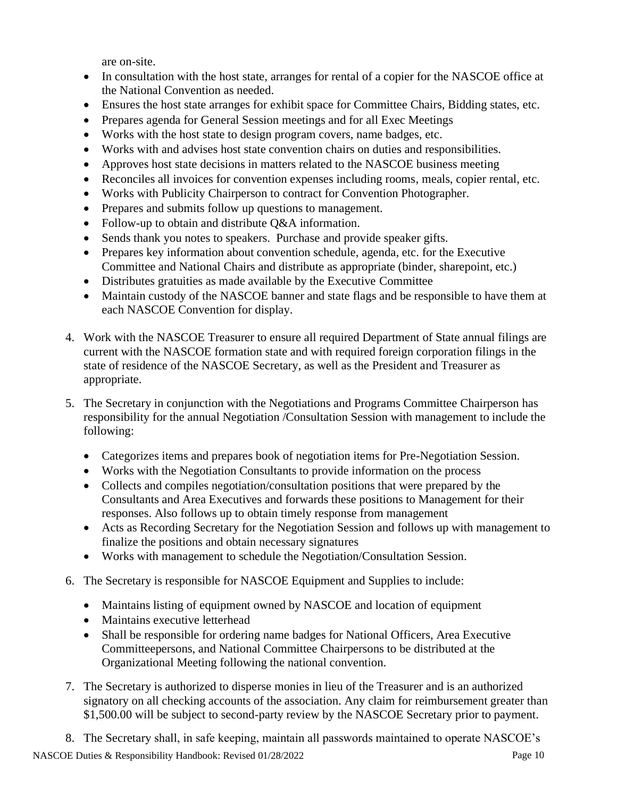are on-site.

- In consultation with the host state, arranges for rental of a copier for the NASCOE office at the National Convention as needed.
- Ensures the host state arranges for exhibit space for Committee Chairs, Bidding states, etc.
- Prepares agenda for General Session meetings and for all Exec Meetings
- Works with the host state to design program covers, name badges, etc.
- Works with and advises host state convention chairs on duties and responsibilities.
- Approves host state decisions in matters related to the NASCOE business meeting
- Reconciles all invoices for convention expenses including rooms, meals, copier rental, etc.
- Works with Publicity Chairperson to contract for Convention Photographer.
- Prepares and submits follow up questions to management.
- Follow-up to obtain and distribute Q&A information.
- Sends thank you notes to speakers. Purchase and provide speaker gifts.
- Prepares key information about convention schedule, agenda, etc. for the Executive Committee and National Chairs and distribute as appropriate (binder, sharepoint, etc.)
- Distributes gratuities as made available by the Executive Committee
- Maintain custody of the NASCOE banner and state flags and be responsible to have them at each NASCOE Convention for display.
- 4. Work with the NASCOE Treasurer to ensure all required Department of State annual filings are current with the NASCOE formation state and with required foreign corporation filings in the state of residence of the NASCOE Secretary, as well as the President and Treasurer as appropriate.
- 5. The Secretary in conjunction with the Negotiations and Programs Committee Chairperson has responsibility for the annual Negotiation /Consultation Session with management to include the following:
	- Categorizes items and prepares book of negotiation items for Pre-Negotiation Session.
	- Works with the Negotiation Consultants to provide information on the process
	- Collects and compiles negotiation/consultation positions that were prepared by the Consultants and Area Executives and forwards these positions to Management for their responses. Also follows up to obtain timely response from management
	- Acts as Recording Secretary for the Negotiation Session and follows up with management to finalize the positions and obtain necessary signatures
	- Works with management to schedule the Negotiation/Consultation Session.
- 6. The Secretary is responsible for NASCOE Equipment and Supplies to include:
	- Maintains listing of equipment owned by NASCOE and location of equipment
	- Maintains executive letterhead
	- Shall be responsible for ordering name badges for National Officers, Area Executive Committeepersons, and National Committee Chairpersons to be distributed at the Organizational Meeting following the national convention.
- 7. The Secretary is authorized to disperse monies in lieu of the Treasurer and is an authorized signatory on all checking accounts of the association. Any claim for reimbursement greater than \$1,500.00 will be subject to second-party review by the NASCOE Secretary prior to payment.
- 8. The Secretary shall, in safe keeping, maintain all passwords maintained to operate NASCOE's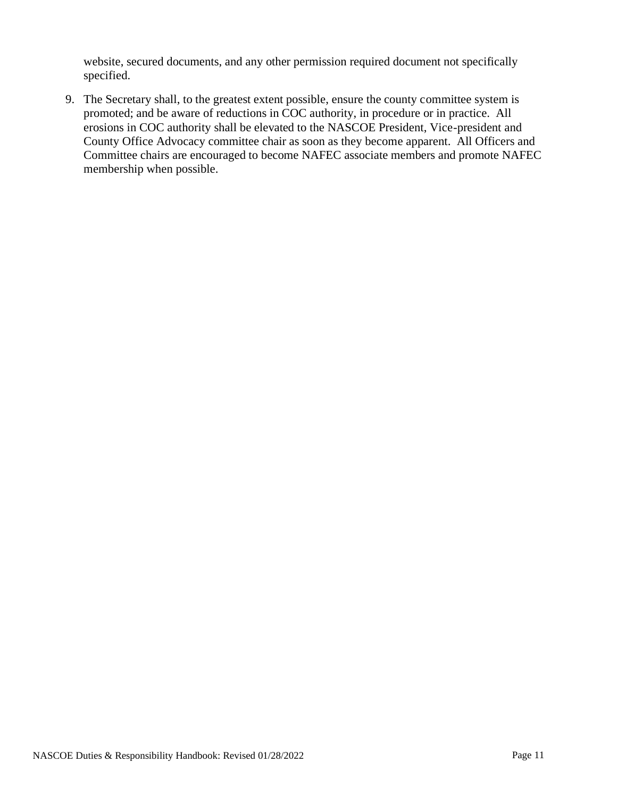website, secured documents, and any other permission required document not specifically specified.

9. The Secretary shall, to the greatest extent possible, ensure the county committee system is promoted; and be aware of reductions in COC authority, in procedure or in practice. All erosions in COC authority shall be elevated to the NASCOE President, Vice-president and County Office Advocacy committee chair as soon as they become apparent. All Officers and Committee chairs are encouraged to become NAFEC associate members and promote NAFEC membership when possible.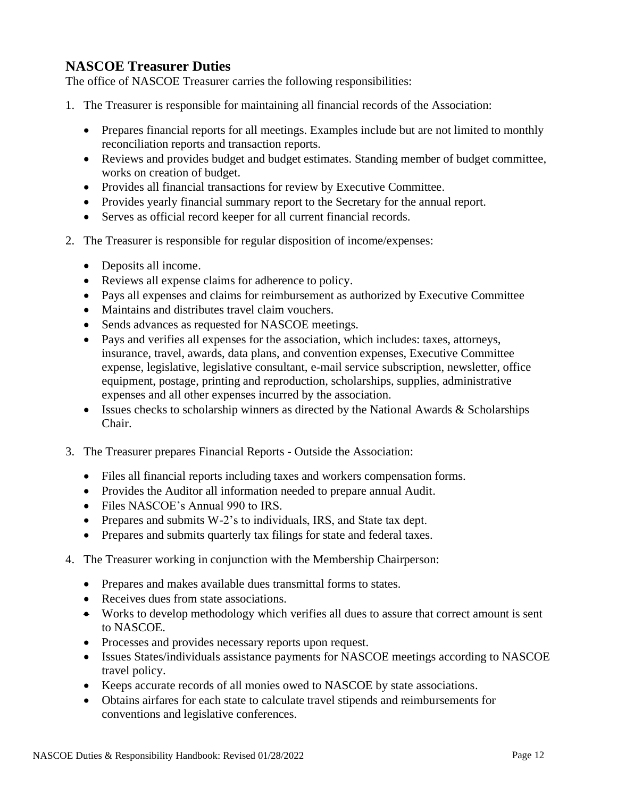## <span id="page-11-0"></span>**NASCOE Treasurer Duties**

The office of NASCOE Treasurer carries the following responsibilities:

- 1. The Treasurer is responsible for maintaining all financial records of the Association:
	- Prepares financial reports for all meetings. Examples include but are not limited to monthly reconciliation reports and transaction reports.
	- Reviews and provides budget and budget estimates. Standing member of budget committee, works on creation of budget.
	- Provides all financial transactions for review by Executive Committee.
	- Provides yearly financial summary report to the Secretary for the annual report.
	- Serves as official record keeper for all current financial records.
- 2. The Treasurer is responsible for regular disposition of income/expenses:
	- Deposits all income.
	- Reviews all expense claims for adherence to policy.
	- Pays all expenses and claims for reimbursement as authorized by Executive Committee
	- Maintains and distributes travel claim vouchers.
	- Sends advances as requested for NASCOE meetings.
	- Pays and verifies all expenses for the association, which includes: taxes, attorneys, insurance, travel, awards, data plans, and convention expenses, Executive Committee expense, legislative, legislative consultant, e-mail service subscription, newsletter, office equipment, postage, printing and reproduction, scholarships, supplies, administrative expenses and all other expenses incurred by the association.
	- Issues checks to scholarship winners as directed by the National Awards & Scholarships Chair.
- 3. The Treasurer prepares Financial Reports Outside the Association:
	- Files all financial reports including taxes and workers compensation forms.
	- Provides the Auditor all information needed to prepare annual Audit.
	- Files NASCOE's Annual 990 to IRS.
	- Prepares and submits W-2's to individuals, IRS, and State tax dept.
	- Prepares and submits quarterly tax filings for state and federal taxes.
- 4. The Treasurer working in conjunction with the Membership Chairperson:
	- Prepares and makes available dues transmittal forms to states.
	- Receives dues from state associations.
	- Works to develop methodology which verifies all dues to assure that correct amount is sent to NASCOE.
	- Processes and provides necessary reports upon request.
	- Issues States/individuals assistance payments for NASCOE meetings according to NASCOE travel policy.
	- Keeps accurate records of all monies owed to NASCOE by state associations.
	- Obtains airfares for each state to calculate travel stipends and reimbursements for conventions and legislative conferences.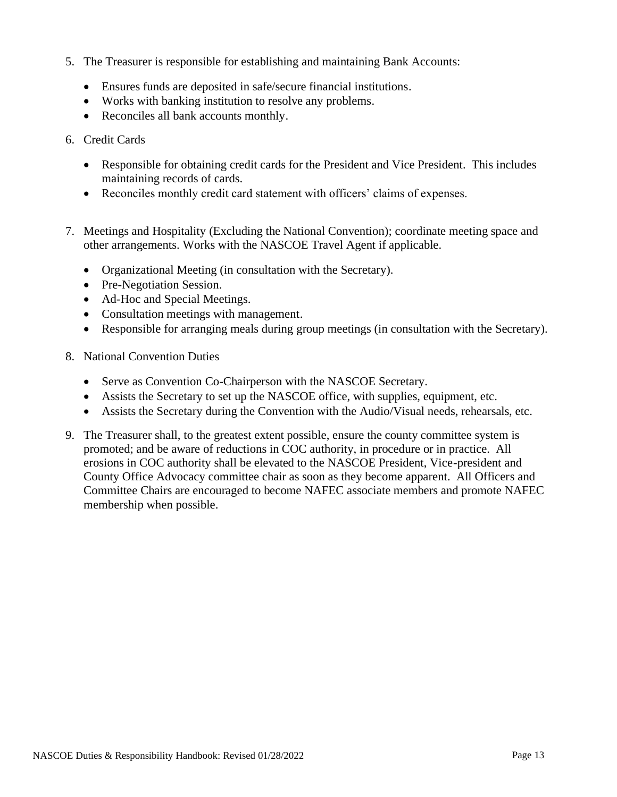- 5. The Treasurer is responsible for establishing and maintaining Bank Accounts:
	- Ensures funds are deposited in safe/secure financial institutions.
	- Works with banking institution to resolve any problems.
	- Reconciles all bank accounts monthly.
- 6. Credit Cards
	- Responsible for obtaining credit cards for the President and Vice President. This includes maintaining records of cards.
	- Reconciles monthly credit card statement with officers' claims of expenses.
- 7. Meetings and Hospitality (Excluding the National Convention); coordinate meeting space and other arrangements. Works with the NASCOE Travel Agent if applicable.
	- Organizational Meeting (in consultation with the Secretary).
	- Pre-Negotiation Session.
	- Ad-Hoc and Special Meetings.
	- Consultation meetings with management.
	- Responsible for arranging meals during group meetings (in consultation with the Secretary).
- 8. National Convention Duties
	- Serve as Convention Co-Chairperson with the NASCOE Secretary.
	- Assists the Secretary to set up the NASCOE office, with supplies, equipment, etc.
	- Assists the Secretary during the Convention with the Audio/Visual needs, rehearsals, etc.
- 9. The Treasurer shall, to the greatest extent possible, ensure the county committee system is promoted; and be aware of reductions in COC authority, in procedure or in practice. All erosions in COC authority shall be elevated to the NASCOE President, Vice-president and County Office Advocacy committee chair as soon as they become apparent. All Officers and Committee Chairs are encouraged to become NAFEC associate members and promote NAFEC membership when possible.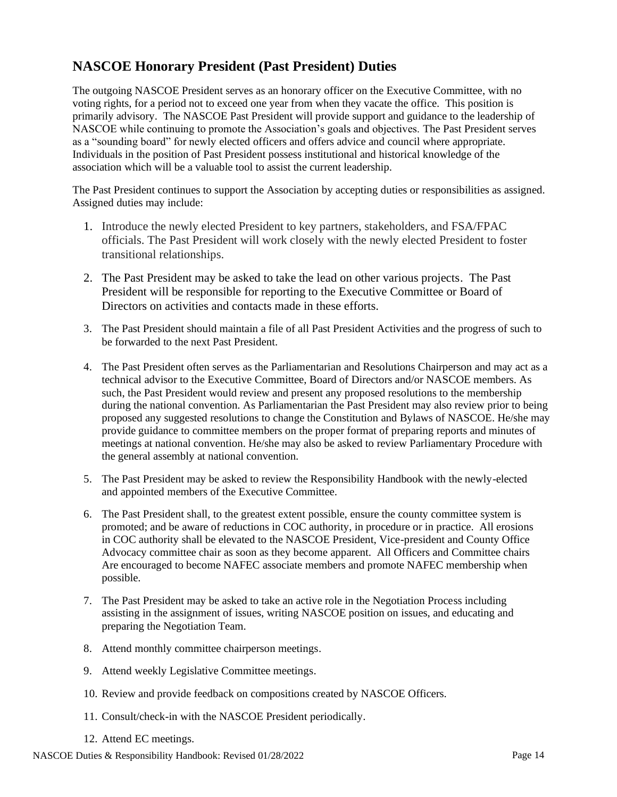# <span id="page-13-0"></span>**NASCOE Honorary President (Past President) Duties**

The outgoing NASCOE President serves as an honorary officer on the Executive Committee, with no voting rights, for a period not to exceed one year from when they vacate the office. This position is primarily advisory. The NASCOE Past President will provide support and guidance to the leadership of NASCOE while continuing to promote the Association's goals and objectives. The Past President serves as a "sounding board" for newly elected officers and offers advice and council where appropriate. Individuals in the position of Past President possess institutional and historical knowledge of the association which will be a valuable tool to assist the current leadership.

The Past President continues to support the Association by accepting duties or responsibilities as assigned. Assigned duties may include:

- 1. Introduce the newly elected President to key partners, stakeholders, and FSA/FPAC officials. The Past President will work closely with the newly elected President to foster transitional relationships.
- 2. The Past President may be asked to take the lead on other various projects. The Past President will be responsible for reporting to the Executive Committee or Board of Directors on activities and contacts made in these efforts.
- 3. The Past President should maintain a file of all Past President Activities and the progress of such to be forwarded to the next Past President.
- 4. The Past President often serves as the Parliamentarian and Resolutions Chairperson and may act as a technical advisor to the Executive Committee, Board of Directors and/or NASCOE members. As such, the Past President would review and present any proposed resolutions to the membership during the national convention. As Parliamentarian the Past President may also review prior to being proposed any suggested resolutions to change the Constitution and Bylaws of NASCOE. He/she may provide guidance to committee members on the proper format of preparing reports and minutes of meetings at national convention. He/she may also be asked to review Parliamentary Procedure with the general assembly at national convention.
- 5. The Past President may be asked to review the Responsibility Handbook with the newly-elected and appointed members of the Executive Committee.
- 6. The Past President shall, to the greatest extent possible, ensure the county committee system is promoted; and be aware of reductions in COC authority, in procedure or in practice. All erosions in COC authority shall be elevated to the NASCOE President, Vice-president and County Office Advocacy committee chair as soon as they become apparent. All Officers and Committee chairs Are encouraged to become NAFEC associate members and promote NAFEC membership when possible.
- 7. The Past President may be asked to take an active role in the Negotiation Process including assisting in the assignment of issues, writing NASCOE position on issues, and educating and preparing the Negotiation Team.
- 8. Attend monthly committee chairperson meetings.
- 9. Attend weekly Legislative Committee meetings.
- 10. Review and provide feedback on compositions created by NASCOE Officers.
- 11. Consult/check-in with the NASCOE President periodically.
- 12. Attend EC meetings.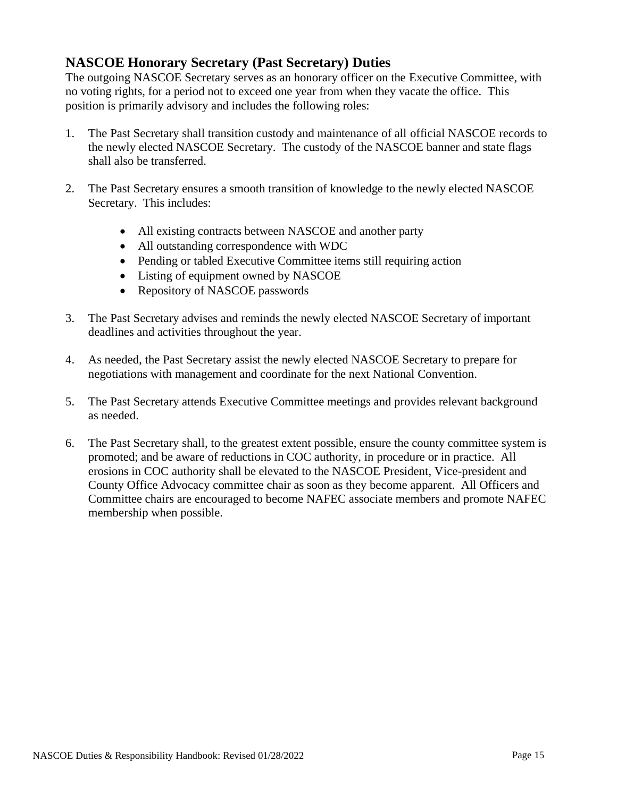# **NASCOE Honorary Secretary (Past Secretary) Duties**

The outgoing NASCOE Secretary serves as an honorary officer on the Executive Committee, with no voting rights, for a period not to exceed one year from when they vacate the office. This position is primarily advisory and includes the following roles:

- 1. The Past Secretary shall transition custody and maintenance of all official NASCOE records to the newly elected NASCOE Secretary. The custody of the NASCOE banner and state flags shall also be transferred.
- 2. The Past Secretary ensures a smooth transition of knowledge to the newly elected NASCOE Secretary. This includes:
	- All existing contracts between NASCOE and another party
	- All outstanding correspondence with WDC
	- Pending or tabled Executive Committee items still requiring action
	- Listing of equipment owned by NASCOE
	- Repository of NASCOE passwords
- 3. The Past Secretary advises and reminds the newly elected NASCOE Secretary of important deadlines and activities throughout the year.
- 4. As needed, the Past Secretary assist the newly elected NASCOE Secretary to prepare for negotiations with management and coordinate for the next National Convention.
- 5. The Past Secretary attends Executive Committee meetings and provides relevant background as needed.
- 6. The Past Secretary shall, to the greatest extent possible, ensure the county committee system is promoted; and be aware of reductions in COC authority, in procedure or in practice. All erosions in COC authority shall be elevated to the NASCOE President, Vice-president and County Office Advocacy committee chair as soon as they become apparent. All Officers and Committee chairs are encouraged to become NAFEC associate members and promote NAFEC membership when possible.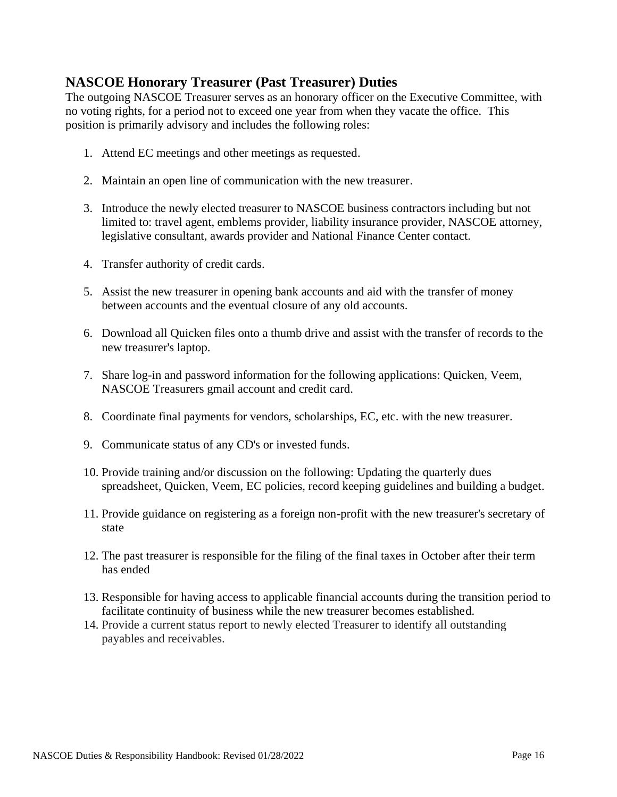# **NASCOE Honorary Treasurer (Past Treasurer) Duties**

The outgoing NASCOE Treasurer serves as an honorary officer on the Executive Committee, with no voting rights, for a period not to exceed one year from when they vacate the office. This position is primarily advisory and includes the following roles:

- 1. Attend EC meetings and other meetings as requested.
- 2. Maintain an open line of communication with the new treasurer.
- 3. Introduce the newly elected treasurer to NASCOE business contractors including but not limited to: travel agent, emblems provider, liability insurance provider, NASCOE attorney, legislative consultant, awards provider and National Finance Center contact.
- 4. Transfer authority of credit cards.
- 5. Assist the new treasurer in opening bank accounts and aid with the transfer of money between accounts and the eventual closure of any old accounts.
- 6. Download all Quicken files onto a thumb drive and assist with the transfer of records to the new treasurer's laptop.
- 7. Share log-in and password information for the following applications: Quicken, Veem, NASCOE Treasurers gmail account and credit card.
- 8. Coordinate final payments for vendors, scholarships, EC, etc. with the new treasurer.
- 9. Communicate status of any CD's or invested funds.
- 10. Provide training and/or discussion on the following: Updating the quarterly dues spreadsheet, Quicken, Veem, EC policies, record keeping guidelines and building a budget.
- 11. Provide guidance on registering as a foreign non-profit with the new treasurer's secretary of state
- 12. The past treasurer is responsible for the filing of the final taxes in October after their term has ended
- 13. Responsible for having access to applicable financial accounts during the transition period to facilitate continuity of business while the new treasurer becomes established.
- 14. Provide a current status report to newly elected Treasurer to identify all outstanding payables and receivables.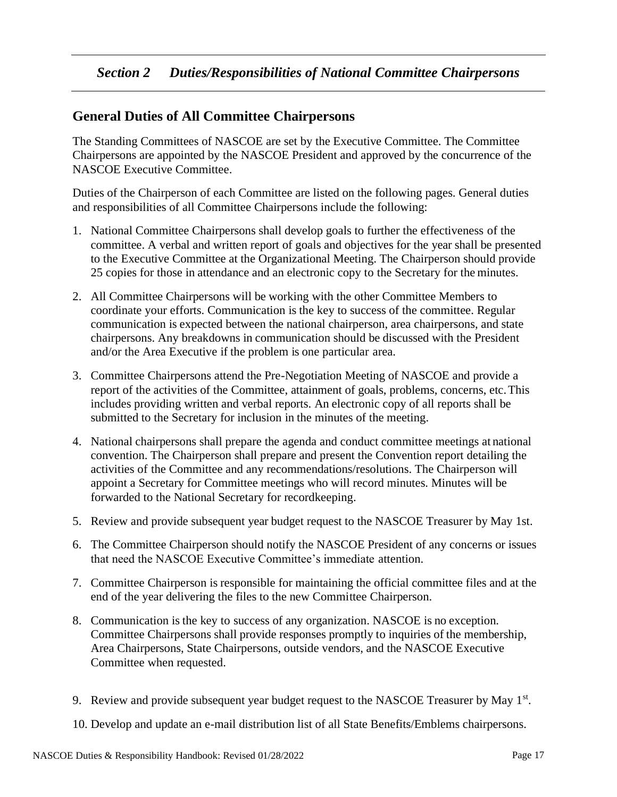## <span id="page-16-1"></span><span id="page-16-0"></span>**General Duties of All Committee Chairpersons**

The Standing Committees of NASCOE are set by the Executive Committee. The Committee Chairpersons are appointed by the NASCOE President and approved by the concurrence of the NASCOE Executive Committee.

Duties of the Chairperson of each Committee are listed on the following pages. General duties and responsibilities of all Committee Chairpersons include the following:

- 1. National Committee Chairpersons shall develop goals to further the effectiveness of the committee. A verbal and written report of goals and objectives for the year shall be presented to the Executive Committee at the Organizational Meeting. The Chairperson should provide 25 copies for those in attendance and an electronic copy to the Secretary for the minutes.
- 2. All Committee Chairpersons will be working with the other Committee Members to coordinate your efforts. Communication is the key to success of the committee. Regular communication is expected between the national chairperson, area chairpersons, and state chairpersons. Any breakdowns in communication should be discussed with the President and/or the Area Executive if the problem is one particular area.
- 3. Committee Chairpersons attend the Pre-Negotiation Meeting of NASCOE and provide a report of the activities of the Committee, attainment of goals, problems, concerns, etc.This includes providing written and verbal reports. An electronic copy of all reports shall be submitted to the Secretary for inclusion in the minutes of the meeting.
- 4. National chairpersons shall prepare the agenda and conduct committee meetings at national convention. The Chairperson shall prepare and present the Convention report detailing the activities of the Committee and any recommendations/resolutions. The Chairperson will appoint a Secretary for Committee meetings who will record minutes. Minutes will be forwarded to the National Secretary for recordkeeping.
- 5. Review and provide subsequent year budget request to the NASCOE Treasurer by May 1st.
- 6. The Committee Chairperson should notify the NASCOE President of any concerns or issues that need the NASCOE Executive Committee's immediate attention.
- 7. Committee Chairperson is responsible for maintaining the official committee files and at the end of the year delivering the files to the new Committee Chairperson.
- 8. Communication is the key to success of any organization. NASCOE is no exception. Committee Chairpersons shall provide responses promptly to inquiries of the membership, Area Chairpersons, State Chairpersons, outside vendors, and the NASCOE Executive Committee when requested.
- 9. Review and provide subsequent year budget request to the NASCOE Treasurer by May  $1<sup>st</sup>$ .

10. Develop and update an e-mail distribution list of all State Benefits/Emblems chairpersons.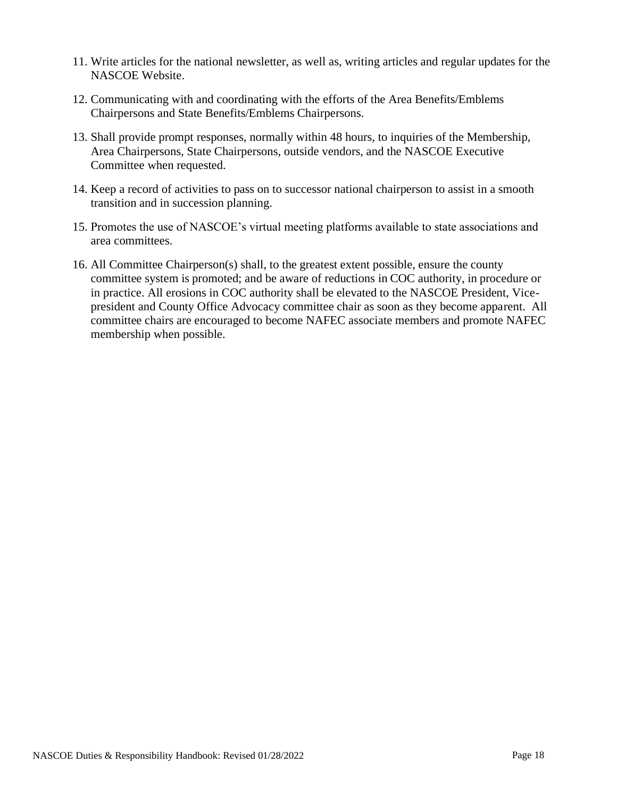- 11. Write articles for the national newsletter, as well as, writing articles and regular updates for the NASCOE Website.
- 12. Communicating with and coordinating with the efforts of the Area Benefits/Emblems Chairpersons and State Benefits/Emblems Chairpersons.
- 13. Shall provide prompt responses, normally within 48 hours, to inquiries of the Membership, Area Chairpersons, State Chairpersons, outside vendors, and the NASCOE Executive Committee when requested.
- 14. Keep a record of activities to pass on to successor national chairperson to assist in a smooth transition and in succession planning.
- 15. Promotes the use of NASCOE's virtual meeting platforms available to state associations and area committees.
- 16. All Committee Chairperson(s) shall, to the greatest extent possible, ensure the county committee system is promoted; and be aware of reductions in COC authority, in procedure or in practice. All erosions in COC authority shall be elevated to the NASCOE President, Vicepresident and County Office Advocacy committee chair as soon as they become apparent. All committee chairs are encouraged to become NAFEC associate members and promote NAFEC membership when possible.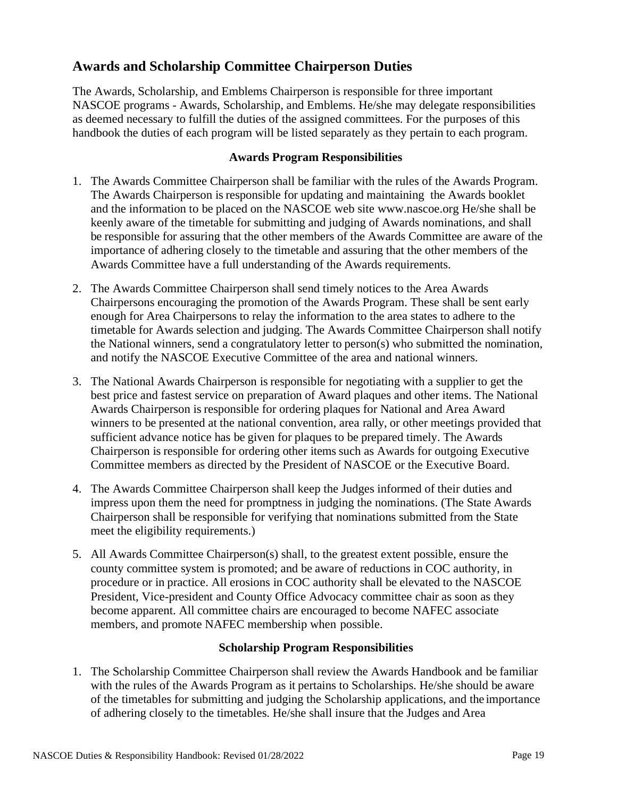## <span id="page-18-0"></span>**Awards and Scholarship Committee Chairperson Duties**

The Awards, Scholarship, and Emblems Chairperson is responsible for three important NASCOE programs - Awards, Scholarship, and Emblems. He/she may delegate responsibilities as deemed necessary to fulfill the duties of the assigned committees. For the purposes of this handbook the duties of each program will be listed separately as they pertain to each program.

#### **Awards Program Responsibilities**

- <span id="page-18-1"></span>1. The Awards Committee Chairperson shall be familiar with the rules of the Awards Program. The Awards Chairperson is responsible for updating and maintaining the Awards booklet and the information to be placed on the NASCOE web site [www.nascoe.org H](http://www.nascoe.org/)e/she shall be keenly aware of the timetable for submitting and judging of Awards nominations, and shall be responsible for assuring that the other members of the Awards Committee are aware of the importance of adhering closely to the timetable and assuring that the other members of the Awards Committee have a full understanding of the Awards requirements.
- 2. The Awards Committee Chairperson shall send timely notices to the Area Awards Chairpersons encouraging the promotion of the Awards Program. These shall be sent early enough for Area Chairpersons to relay the information to the area states to adhere to the timetable for Awards selection and judging. The Awards Committee Chairperson shall notify the National winners, send a congratulatory letter to person(s) who submitted the nomination, and notify the NASCOE Executive Committee of the area and national winners.
- 3. The National Awards Chairperson is responsible for negotiating with a supplier to get the best price and fastest service on preparation of Award plaques and other items. The National Awards Chairperson is responsible for ordering plaques for National and Area Award winners to be presented at the national convention, area rally, or other meetings provided that sufficient advance notice has be given for plaques to be prepared timely. The Awards Chairperson is responsible for ordering other items such as Awards for outgoing Executive Committee members as directed by the President of NASCOE or the Executive Board.
- 4. The Awards Committee Chairperson shall keep the Judges informed of their duties and impress upon them the need for promptness in judging the nominations. (The State Awards Chairperson shall be responsible for verifying that nominations submitted from the State meet the eligibility requirements.)
- 5. All Awards Committee Chairperson(s) shall, to the greatest extent possible, ensure the county committee system is promoted; and be aware of reductions in COC authority, in procedure or in practice. All erosions in COC authority shall be elevated to the NASCOE President, Vice-president and County Office Advocacy committee chair as soon as they become apparent. All committee chairs are encouraged to become NAFEC associate members, and promote NAFEC membership when possible.

#### **Scholarship Program Responsibilities**

<span id="page-18-2"></span>1. The Scholarship Committee Chairperson shall review the Awards Handbook and be familiar with the rules of the Awards Program as it pertains to Scholarships. He/she should be aware of the timetables for submitting and judging the Scholarship applications, and the importance of adhering closely to the timetables. He/she shall insure that the Judges and Area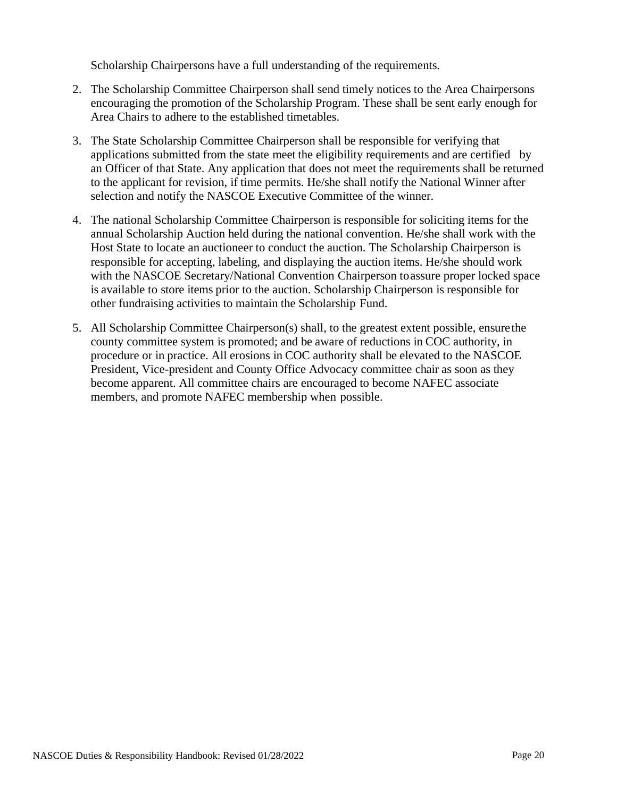Scholarship Chairpersons have a full understanding of the requirements.

- 2. The Scholarship Committee Chairperson shall send timely notices to the Area Chairpersons encouraging the promotion of the Scholarship Program. These shall be sent early enough for Area Chairs to adhere to the established timetables.
- 3. The State Scholarship Committee Chairperson shall be responsible for verifying that applications submitted from the state meet the eligibility requirements and are certified by an Officer of that State. Any application that does not meet the requirements shall be returned to the applicant for revision, if time permits. He/she shall notify the National Winner after selection and notify the NASCOE Executive Committee of the winner.
- 4. The national Scholarship Committee Chairperson is responsible for soliciting items for the annual Scholarship Auction held during the national convention. He/she shall work with the Host State to locate an auctioneer to conduct the auction. The Scholarship Chairperson is responsible for accepting, labeling, and displaying the auction items. He/she should work with the NASCOE Secretary/National Convention Chairperson toassure proper locked space is available to store items prior to the auction. Scholarship Chairperson is responsible for other fundraising activities to maintain the Scholarship Fund.
- 5. All Scholarship Committee Chairperson(s) shall, to the greatest extent possible, ensurethe county committee system is promoted; and be aware of reductions in COC authority, in procedure or in practice. All erosions in COC authority shall be elevated to the NASCOE President, Vice-president and County Office Advocacy committee chair as soon as they become apparent. All committee chairs are encouraged to become NAFEC associate members, and promote NAFEC membership when possible.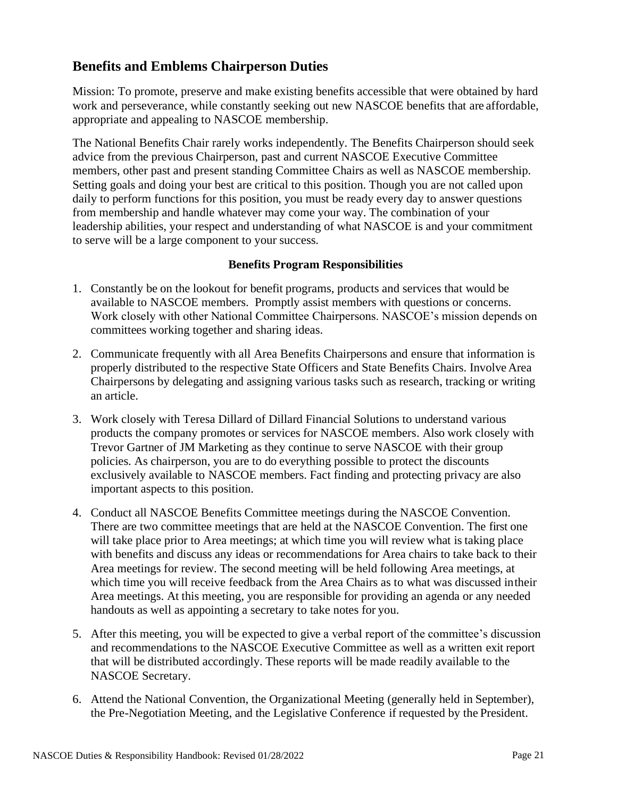## <span id="page-20-0"></span>**Benefits and Emblems Chairperson Duties**

Mission: To promote, preserve and make existing benefits accessible that were obtained by hard work and perseverance, while constantly seeking out new NASCOE benefits that are affordable, appropriate and appealing to NASCOE membership.

The National Benefits Chair rarely works independently. The Benefits Chairperson should seek advice from the previous Chairperson, past and current NASCOE Executive Committee members, other past and present standing Committee Chairs as well as NASCOE membership. Setting goals and doing your best are critical to this position. Though you are not called upon daily to perform functions for this position, you must be ready every day to answer questions from membership and handle whatever may come your way. The combination of your leadership abilities, your respect and understanding of what NASCOE is and your commitment to serve will be a large component to your success.

## **Benefits Program Responsibilities**

- <span id="page-20-1"></span>1. Constantly be on the lookout for benefit programs, products and services that would be available to NASCOE members. Promptly assist members with questions or concerns. Work closely with other National Committee Chairpersons. NASCOE's mission depends on committees working together and sharing ideas.
- 2. Communicate frequently with all Area Benefits Chairpersons and ensure that information is properly distributed to the respective State Officers and State Benefits Chairs. Involve Area Chairpersons by delegating and assigning various tasks such as research, tracking or writing an article.
- 3. Work closely with Teresa Dillard of Dillard Financial Solutions to understand various products the company promotes or services for NASCOE members. Also work closely with Trevor Gartner of JM Marketing as they continue to serve NASCOE with their group policies. As chairperson, you are to do everything possible to protect the discounts exclusively available to NASCOE members. Fact finding and protecting privacy are also important aspects to this position.
- 4. Conduct all NASCOE Benefits Committee meetings during the NASCOE Convention. There are two committee meetings that are held at the NASCOE Convention. The first one will take place prior to Area meetings; at which time you will review what is taking place with benefits and discuss any ideas or recommendations for Area chairs to take back to their Area meetings for review. The second meeting will be held following Area meetings, at which time you will receive feedback from the Area Chairs as to what was discussed intheir Area meetings. At this meeting, you are responsible for providing an agenda or any needed handouts as well as appointing a secretary to take notes for you.
- 5. After this meeting, you will be expected to give a verbal report of the committee's discussion and recommendations to the NASCOE Executive Committee as well as a written exit report that will be distributed accordingly. These reports will be made readily available to the NASCOE Secretary.
- 6. Attend the National Convention, the Organizational Meeting (generally held in September), the Pre-Negotiation Meeting, and the Legislative Conference if requested by the President.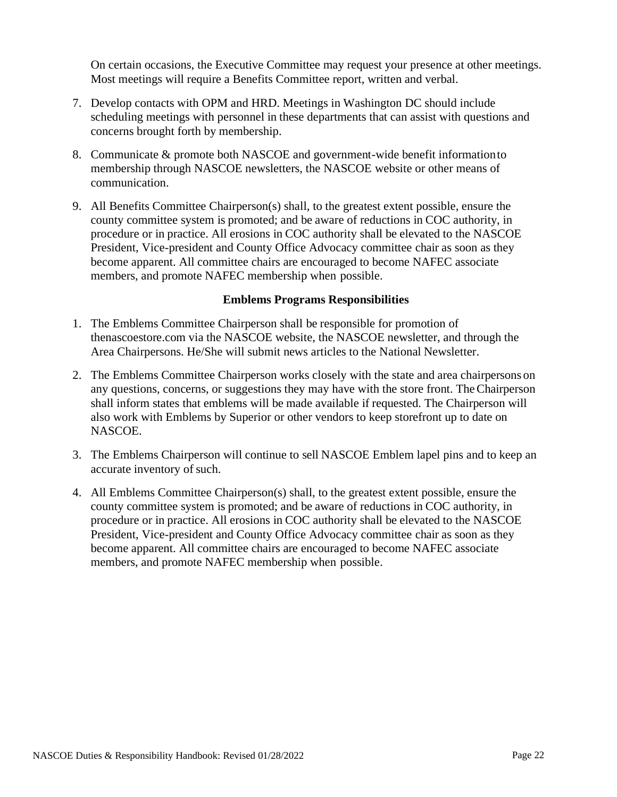On certain occasions, the Executive Committee may request your presence at other meetings. Most meetings will require a Benefits Committee report, written and verbal.

- 7. Develop contacts with OPM and HRD. Meetings in Washington DC should include scheduling meetings with personnel in these departments that can assist with questions and concerns brought forth by membership.
- 8. Communicate & promote both NASCOE and government-wide benefit informationto membership through NASCOE newsletters, the NASCOE website or other means of communication.
- 9. All Benefits Committee Chairperson(s) shall, to the greatest extent possible, ensure the county committee system is promoted; and be aware of reductions in COC authority, in procedure or in practice. All erosions in COC authority shall be elevated to the NASCOE President, Vice-president and County Office Advocacy committee chair as soon as they become apparent. All committee chairs are encouraged to become NAFEC associate members, and promote NAFEC membership when possible.

## **Emblems Programs Responsibilities**

- <span id="page-21-0"></span>1. The Emblems Committee Chairperson shall be responsible for promotion of thenascoestore.com via the NASCOE website, the NASCOE newsletter, and through the Area Chairpersons. He/She will submit news articles to the National Newsletter.
- 2. The Emblems Committee Chairperson works closely with the state and area chairpersons on any questions, concerns, or suggestions they may have with the store front. TheChairperson shall inform states that emblems will be made available if requested. The Chairperson will also work with Emblems by Superior or other vendors to keep storefront up to date on NASCOE.
- 3. The Emblems Chairperson will continue to sell NASCOE Emblem lapel pins and to keep an accurate inventory of such.
- 4. All Emblems Committee Chairperson(s) shall, to the greatest extent possible, ensure the county committee system is promoted; and be aware of reductions in COC authority, in procedure or in practice. All erosions in COC authority shall be elevated to the NASCOE President, Vice-president and County Office Advocacy committee chair as soon as they become apparent. All committee chairs are encouraged to become NAFEC associate members, and promote NAFEC membership when possible.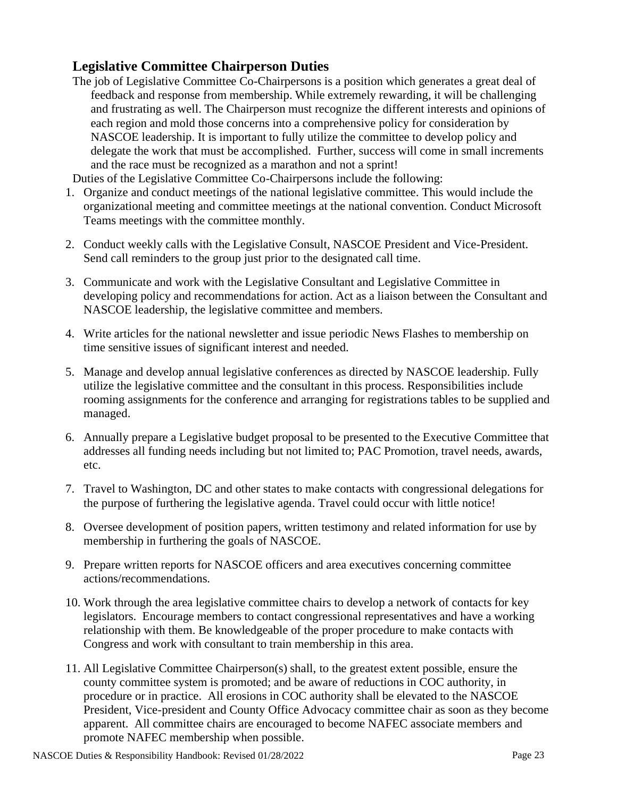## <span id="page-22-0"></span>**Legislative Committee Chairperson Duties**

The job of Legislative Committee Co-Chairpersons is a position which generates a great deal of feedback and response from membership. While extremely rewarding, it will be challenging and frustrating as well. The Chairperson must recognize the different interests and opinions of each region and mold those concerns into a comprehensive policy for consideration by NASCOE leadership. It is important to fully utilize the committee to develop policy and delegate the work that must be accomplished. Further, success will come in small increments and the race must be recognized as a marathon and not a sprint!

Duties of the Legislative Committee Co-Chairpersons include the following:

- 1. Organize and conduct meetings of the national legislative committee. This would include the organizational meeting and committee meetings at the national convention. Conduct Microsoft Teams meetings with the committee monthly.
- 2. Conduct weekly calls with the Legislative Consult, NASCOE President and Vice-President. Send call reminders to the group just prior to the designated call time.
- 3. Communicate and work with the Legislative Consultant and Legislative Committee in developing policy and recommendations for action. Act as a liaison between the Consultant and NASCOE leadership, the legislative committee and members.
- 4. Write articles for the national newsletter and issue periodic News Flashes to membership on time sensitive issues of significant interest and needed.
- 5. Manage and develop annual legislative conferences as directed by NASCOE leadership. Fully utilize the legislative committee and the consultant in this process. Responsibilities include rooming assignments for the conference and arranging for registrations tables to be supplied and managed.
- 6. Annually prepare a Legislative budget proposal to be presented to the Executive Committee that addresses all funding needs including but not limited to; PAC Promotion, travel needs, awards, etc.
- 7. Travel to Washington, DC and other states to make contacts with congressional delegations for the purpose of furthering the legislative agenda. Travel could occur with little notice!
- 8. Oversee development of position papers, written testimony and related information for use by membership in furthering the goals of NASCOE.
- 9. Prepare written reports for NASCOE officers and area executives concerning committee actions/recommendations.
- 10. Work through the area legislative committee chairs to develop a network of contacts for key legislators. Encourage members to contact congressional representatives and have a working relationship with them. Be knowledgeable of the proper procedure to make contacts with Congress and work with consultant to train membership in this area.
- 11. All Legislative Committee Chairperson(s) shall, to the greatest extent possible, ensure the county committee system is promoted; and be aware of reductions in COC authority, in procedure or in practice. All erosions in COC authority shall be elevated to the NASCOE President, Vice-president and County Office Advocacy committee chair as soon as they become apparent. All committee chairs are encouraged to become NAFEC associate members and promote NAFEC membership when possible.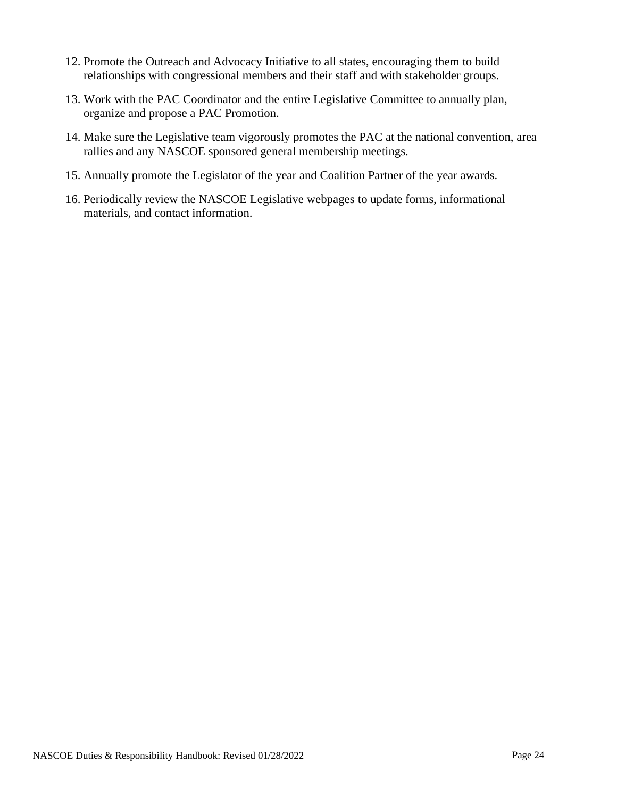- 12. Promote the Outreach and Advocacy Initiative to all states, encouraging them to build relationships with congressional members and their staff and with stakeholder groups.
- 13. Work with the PAC Coordinator and the entire Legislative Committee to annually plan, organize and propose a PAC Promotion.
- 14. Make sure the Legislative team vigorously promotes the PAC at the national convention, area rallies and any NASCOE sponsored general membership meetings.
- 15. Annually promote the Legislator of the year and Coalition Partner of the year awards.
- 16. Periodically review the NASCOE Legislative webpages to update forms, informational materials, and contact information.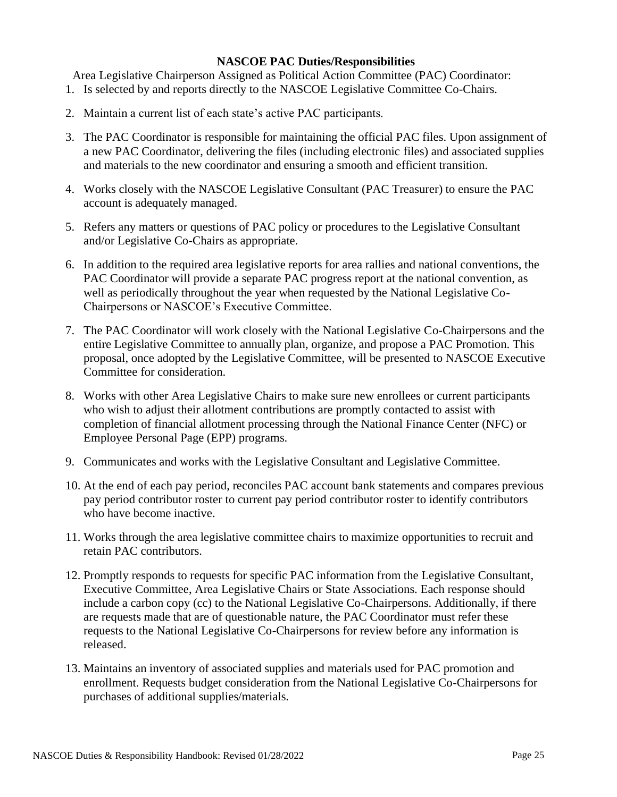#### **NASCOE PAC Duties/Responsibilities**

Area Legislative Chairperson Assigned as Political Action Committee (PAC) Coordinator:

- 1. Is selected by and reports directly to the NASCOE Legislative Committee Co-Chairs.
- 2. Maintain a current list of each state's active PAC participants.
- 3. The PAC Coordinator is responsible for maintaining the official PAC files. Upon assignment of a new PAC Coordinator, delivering the files (including electronic files) and associated supplies and materials to the new coordinator and ensuring a smooth and efficient transition.
- 4. Works closely with the NASCOE Legislative Consultant (PAC Treasurer) to ensure the PAC account is adequately managed.
- 5. Refers any matters or questions of PAC policy or procedures to the Legislative Consultant and/or Legislative Co-Chairs as appropriate.
- 6. In addition to the required area legislative reports for area rallies and national conventions, the PAC Coordinator will provide a separate PAC progress report at the national convention, as well as periodically throughout the year when requested by the National Legislative Co-Chairpersons or NASCOE's Executive Committee.
- 7. The PAC Coordinator will work closely with the National Legislative Co-Chairpersons and the entire Legislative Committee to annually plan, organize, and propose a PAC Promotion. This proposal, once adopted by the Legislative Committee, will be presented to NASCOE Executive Committee for consideration.
- 8. Works with other Area Legislative Chairs to make sure new enrollees or current participants who wish to adjust their allotment contributions are promptly contacted to assist with completion of financial allotment processing through the National Finance Center (NFC) or Employee Personal Page (EPP) programs.
- 9. Communicates and works with the Legislative Consultant and Legislative Committee.
- 10. At the end of each pay period, reconciles PAC account bank statements and compares previous pay period contributor roster to current pay period contributor roster to identify contributors who have become inactive.
- 11. Works through the area legislative committee chairs to maximize opportunities to recruit and retain PAC contributors.
- 12. Promptly responds to requests for specific PAC information from the Legislative Consultant, Executive Committee, Area Legislative Chairs or State Associations. Each response should include a carbon copy (cc) to the National Legislative Co-Chairpersons. Additionally, if there are requests made that are of questionable nature, the PAC Coordinator must refer these requests to the National Legislative Co-Chairpersons for review before any information is released.
- 13. Maintains an inventory of associated supplies and materials used for PAC promotion and enrollment. Requests budget consideration from the National Legislative Co-Chairpersons for purchases of additional supplies/materials.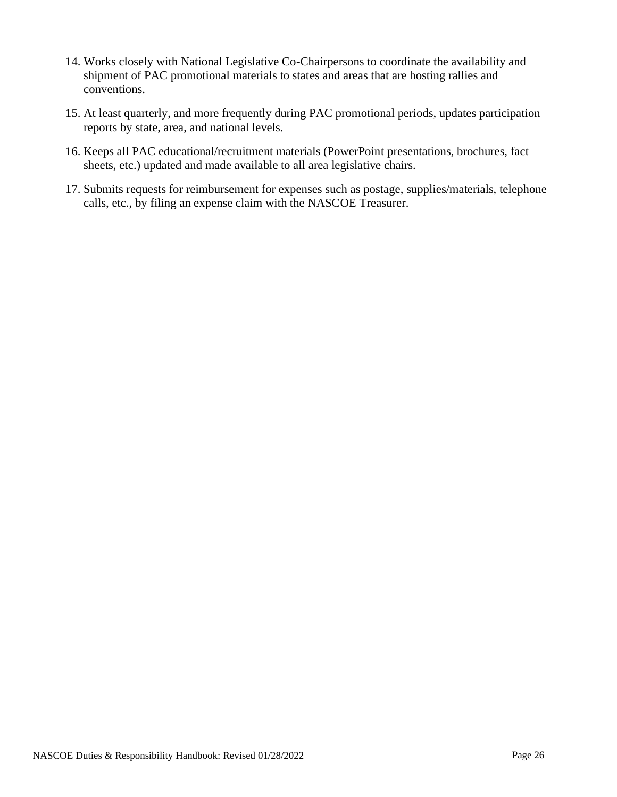- 14. Works closely with National Legislative Co-Chairpersons to coordinate the availability and shipment of PAC promotional materials to states and areas that are hosting rallies and conventions.
- 15. At least quarterly, and more frequently during PAC promotional periods, updates participation reports by state, area, and national levels.
- 16. Keeps all PAC educational/recruitment materials (PowerPoint presentations, brochures, fact sheets, etc.) updated and made available to all area legislative chairs.
- 17. Submits requests for reimbursement for expenses such as postage, supplies/materials, telephone calls, etc., by filing an expense claim with the NASCOE Treasurer.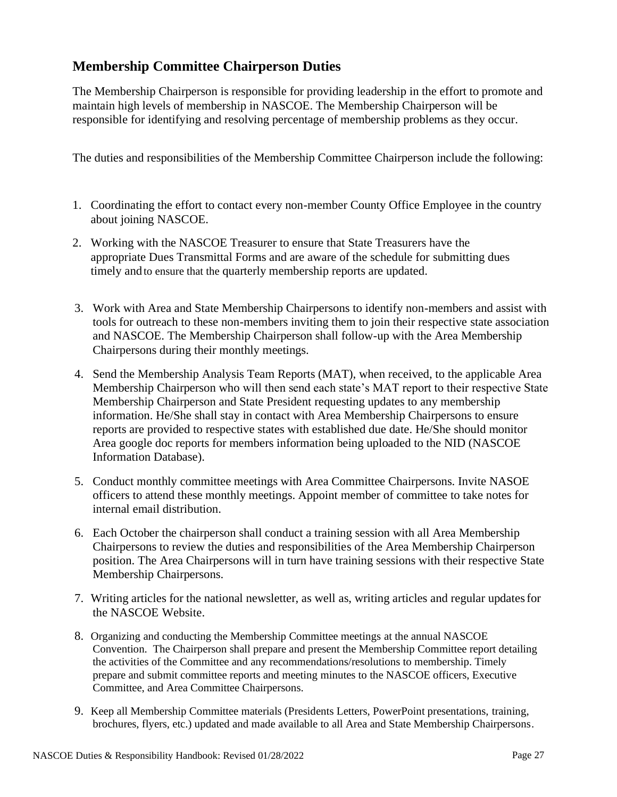# <span id="page-26-0"></span>**Membership Committee Chairperson Duties**

The Membership Chairperson is responsible for providing leadership in the effort to promote and maintain high levels of membership in NASCOE. The Membership Chairperson will be responsible for identifying and resolving percentage of membership problems as they occur.

The duties and responsibilities of the Membership Committee Chairperson include the following:

- 1. Coordinating the effort to contact every non-member County Office Employee in the country about joining NASCOE.
- 2. Working with the NASCOE Treasurer to ensure that State Treasurers have the appropriate Dues Transmittal Forms and are aware of the schedule for submitting dues timely and to ensure that the quarterly membership reports are updated.
- 3. Work with Area and State Membership Chairpersons to identify non-members and assist with tools for outreach to these non-members inviting them to join their respective state association and NASCOE. The Membership Chairperson shall follow-up with the Area Membership Chairpersons during their monthly meetings.
- 4. Send the Membership Analysis Team Reports (MAT), when received, to the applicable Area Membership Chairperson who will then send each state's MAT report to their respective State Membership Chairperson and State President requesting updates to any membership information. He/She shall stay in contact with Area Membership Chairpersons to ensure reports are provided to respective states with established due date. He/She should monitor Area google doc reports for members information being uploaded to the NID (NASCOE Information Database).
- 5. Conduct monthly committee meetings with Area Committee Chairpersons. Invite NASOE officers to attend these monthly meetings. Appoint member of committee to take notes for internal email distribution.
- 6. Each October the chairperson shall conduct a training session with all Area Membership Chairpersons to review the duties and responsibilities of the Area Membership Chairperson position. The Area Chairpersons will in turn have training sessions with their respective State Membership Chairpersons.
- 7. Writing articles for the national newsletter, as well as, writing articles and regular updatesfor the NASCOE Website.
- 8. Organizing and conducting the Membership Committee meetings at the annual NASCOE Convention. The Chairperson shall prepare and present the Membership Committee report detailing the activities of the Committee and any recommendations/resolutions to membership. Timely prepare and submit committee reports and meeting minutes to the NASCOE officers, Executive Committee, and Area Committee Chairpersons.
- 9. Keep all Membership Committee materials (Presidents Letters, PowerPoint presentations, training, brochures, flyers, etc.) updated and made available to all Area and State Membership Chairpersons.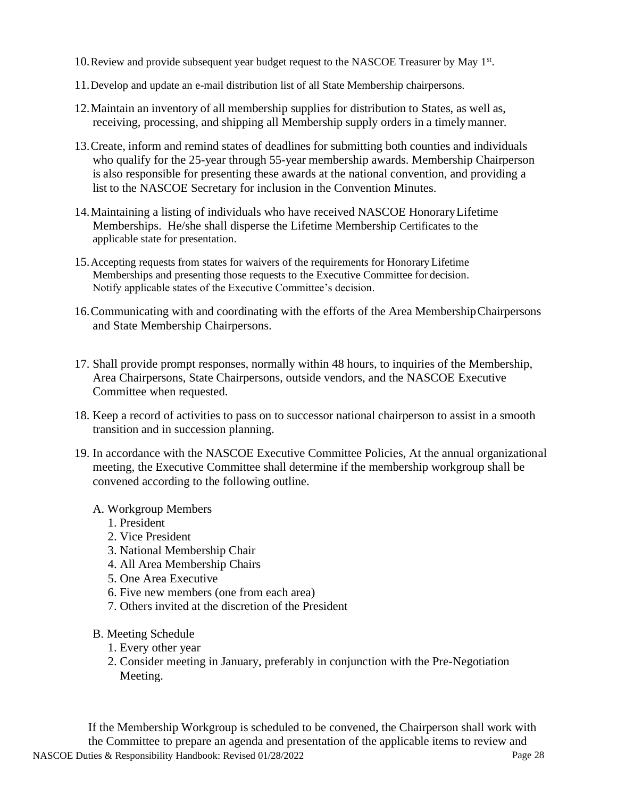- 10. Review and provide subsequent year budget request to the NASCOE Treasurer by May 1st.
- 11.Develop and update an e-mail distribution list of all State Membership chairpersons.
- 12.Maintain an inventory of all membership supplies for distribution to States, as well as, receiving, processing, and shipping all Membership supply orders in a timelymanner.
- 13.Create, inform and remind states of deadlines for submitting both counties and individuals who qualify for the 25-year through 55-year membership awards. Membership Chairperson is also responsible for presenting these awards at the national convention, and providing a list to the NASCOE Secretary for inclusion in the Convention Minutes.
- 14.Maintaining a listing of individuals who have received NASCOE HonoraryLifetime Memberships. He/she shall disperse the Lifetime Membership Certificates to the applicable state for presentation.
- 15.Accepting requests from states for waivers of the requirements for Honorary Lifetime Memberships and presenting those requests to the Executive Committee for decision. Notify applicable states of the Executive Committee's decision.
- 16.Communicating with and coordinating with the efforts of the Area MembershipChairpersons and State Membership Chairpersons.
- 17. Shall provide prompt responses, normally within 48 hours, to inquiries of the Membership, Area Chairpersons, State Chairpersons, outside vendors, and the NASCOE Executive Committee when requested.
- 18. Keep a record of activities to pass on to successor national chairperson to assist in a smooth transition and in succession planning.
- 19. In accordance with the NASCOE Executive Committee Policies, At the annual organizational meeting, the Executive Committee shall determine if the membership workgroup shall be convened according to the following outline.

#### A. Workgroup Members

- 1. President
- 2. Vice President
- 3. National Membership Chair
- 4. All Area Membership Chairs
- 5. One Area Executive
- 6. Five new members (one from each area)
- 7. Others invited at the discretion of the President
- B. Meeting Schedule
	- 1. Every other year
	- 2. Consider meeting in January, preferably in conjunction with the Pre-Negotiation Meeting.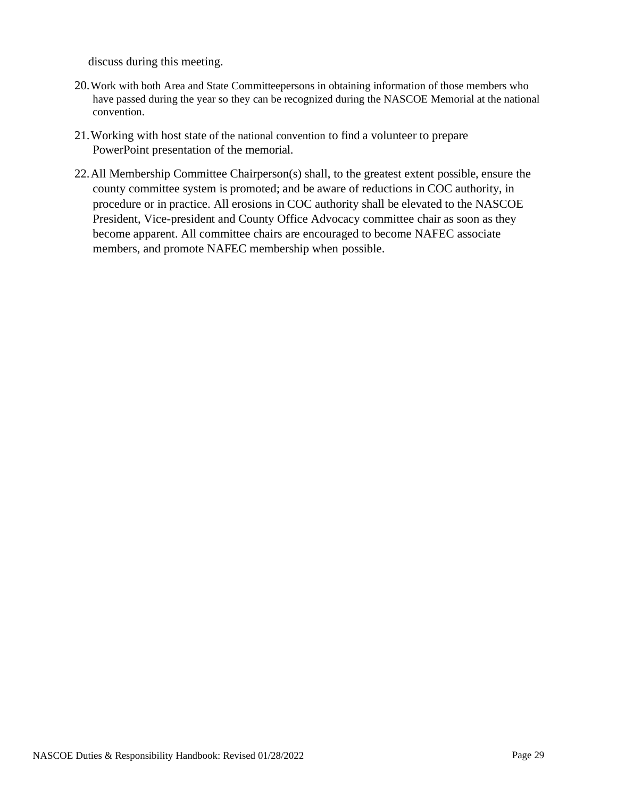discuss during this meeting.

- 20.Work with both Area and State Committeepersons in obtaining information of those members who have passed during the year so they can be recognized during the NASCOE Memorial at the national convention.
- 21.Working with host state of the national convention to find a volunteer to prepare PowerPoint presentation of the memorial.
- 22.All Membership Committee Chairperson(s) shall, to the greatest extent possible, ensure the county committee system is promoted; and be aware of reductions in COC authority, in procedure or in practice. All erosions in COC authority shall be elevated to the NASCOE President, Vice-president and County Office Advocacy committee chair as soon as they become apparent. All committee chairs are encouraged to become NAFEC associate members, and promote NAFEC membership when possible.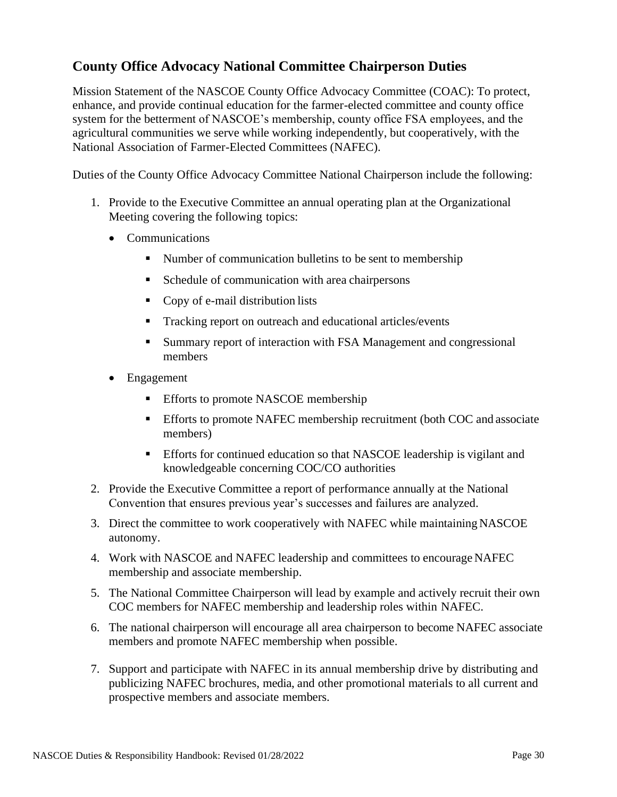## <span id="page-29-0"></span>**County Office Advocacy National Committee Chairperson Duties**

Mission Statement of the NASCOE County Office Advocacy Committee (COAC): To protect, enhance, and provide continual education for the farmer-elected committee and county office system for the betterment of NASCOE's membership, county office FSA employees, and the agricultural communities we serve while working independently, but cooperatively, with the National Association of Farmer-Elected Committees (NAFEC).

Duties of the County Office Advocacy Committee National Chairperson include the following:

- 1. Provide to the Executive Committee an annual operating plan at the Organizational Meeting covering the following topics:
	- Communications
		- Number of communication bulletins to be sent to membership
		- Schedule of communication with area chairpersons
		- Copy of e-mail distribution lists
		- Tracking report on outreach and educational articles/events
		- Summary report of interaction with FSA Management and congressional members
	- Engagement
		- Efforts to promote NASCOE membership
		- **Efforts to promote NAFEC membership recruitment (both COC and associate** members)
		- **Efforts for continued education so that NASCOE leadership is vigilant and** knowledgeable concerning COC/CO authorities
- 2. Provide the Executive Committee a report of performance annually at the National Convention that ensures previous year's successes and failures are analyzed.
- 3. Direct the committee to work cooperatively with NAFEC while maintaining NASCOE autonomy.
- 4. Work with NASCOE and NAFEC leadership and committees to encourage NAFEC membership and associate membership.
- 5. The National Committee Chairperson will lead by example and actively recruit their own COC members for NAFEC membership and leadership roles within NAFEC.
- 6. The national chairperson will encourage all area chairperson to become NAFEC associate members and promote NAFEC membership when possible.
- 7. Support and participate with NAFEC in its annual membership drive by distributing and publicizing NAFEC brochures, media, and other promotional materials to all current and prospective members and associate members.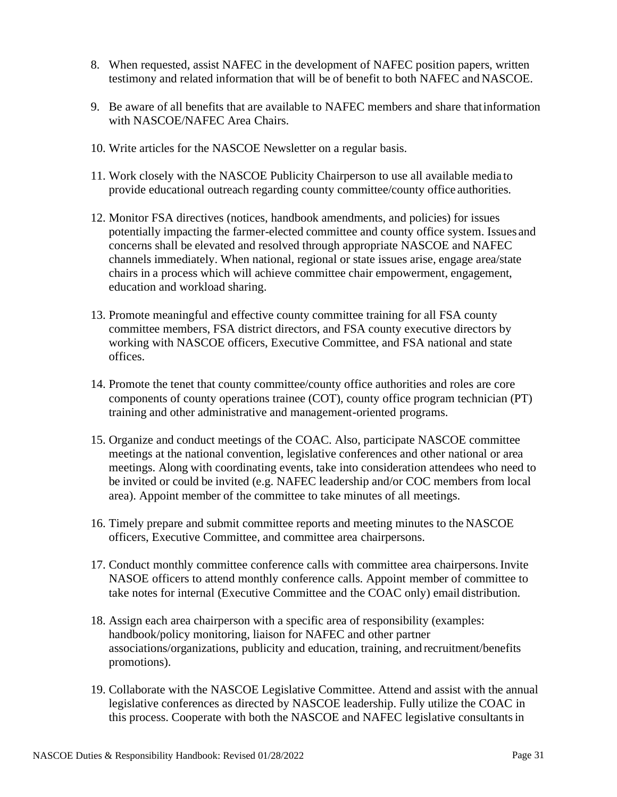- 8. When requested, assist NAFEC in the development of NAFEC position papers, written testimony and related information that will be of benefit to both NAFEC and NASCOE.
- 9. Be aware of all benefits that are available to NAFEC members and share thatinformation with NASCOE/NAFEC Area Chairs.
- 10. Write articles for the NASCOE Newsletter on a regular basis.
- 11. Work closely with the NASCOE Publicity Chairperson to use all available media to provide educational outreach regarding county committee/county office authorities.
- 12. Monitor FSA directives (notices, handbook amendments, and policies) for issues potentially impacting the farmer-elected committee and county office system. Issues and concerns shall be elevated and resolved through appropriate NASCOE and NAFEC channels immediately. When national, regional or state issues arise, engage area/state chairs in a process which will achieve committee chair empowerment, engagement, education and workload sharing.
- 13. Promote meaningful and effective county committee training for all FSA county committee members, FSA district directors, and FSA county executive directors by working with NASCOE officers, Executive Committee, and FSA national and state offices.
- 14. Promote the tenet that county committee/county office authorities and roles are core components of county operations trainee (COT), county office program technician (PT) training and other administrative and management-oriented programs.
- 15. Organize and conduct meetings of the COAC. Also, participate NASCOE committee meetings at the national convention, legislative conferences and other national or area meetings. Along with coordinating events, take into consideration attendees who need to be invited or could be invited (e.g. NAFEC leadership and/or COC members from local area). Appoint member of the committee to take minutes of all meetings.
- 16. Timely prepare and submit committee reports and meeting minutes to the NASCOE officers, Executive Committee, and committee area chairpersons.
- 17. Conduct monthly committee conference calls with committee area chairpersons.Invite NASOE officers to attend monthly conference calls. Appoint member of committee to take notes for internal (Executive Committee and the COAC only) email distribution.
- 18. Assign each area chairperson with a specific area of responsibility (examples: handbook/policy monitoring, liaison for NAFEC and other partner associations/organizations, publicity and education, training, and recruitment/benefits promotions).
- 19. Collaborate with the NASCOE Legislative Committee. Attend and assist with the annual legislative conferences as directed by NASCOE leadership. Fully utilize the COAC in this process. Cooperate with both the NASCOE and NAFEC legislative consultantsin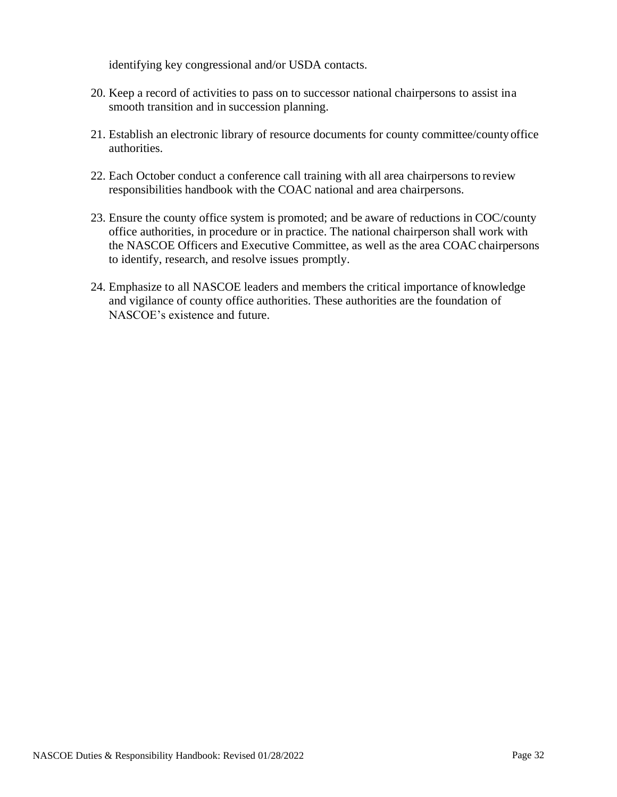identifying key congressional and/or USDA contacts.

- 20. Keep a record of activities to pass on to successor national chairpersons to assist ina smooth transition and in succession planning.
- 21. Establish an electronic library of resource documents for county committee/countyoffice authorities.
- 22. Each October conduct a conference call training with all area chairpersons to review responsibilities handbook with the COAC national and area chairpersons.
- 23. Ensure the county office system is promoted; and be aware of reductions in COC/county office authorities, in procedure or in practice. The national chairperson shall work with the NASCOE Officers and Executive Committee, as well as the area COAC chairpersons to identify, research, and resolve issues promptly.
- 24. Emphasize to all NASCOE leaders and members the critical importance of knowledge and vigilance of county office authorities. These authorities are the foundation of NASCOE's existence and future.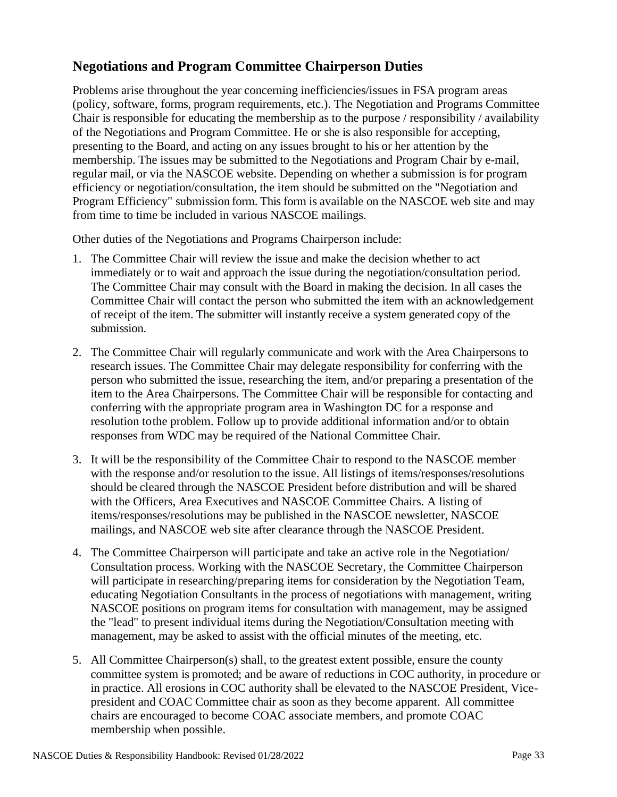# <span id="page-32-0"></span>**Negotiations and Program Committee Chairperson Duties**

Problems arise throughout the year concerning inefficiencies/issues in FSA program areas (policy, software, forms, program requirements, etc.). The Negotiation and Programs Committee Chair is responsible for educating the membership as to the purpose / responsibility / availability of the Negotiations and Program Committee. He or she is also responsible for accepting, presenting to the Board, and acting on any issues brought to his or her attention by the membership. The issues may be submitted to the Negotiations and Program Chair by e-mail, regular mail, or via the NASCOE website. Depending on whether a submission is for program efficiency or negotiation/consultation, the item should be submitted on the "Negotiation and Program Efficiency" submission form. This form is available on the NASCOE web site and may from time to time be included in various NASCOE mailings.

Other duties of the Negotiations and Programs Chairperson include:

- 1. The Committee Chair will review the issue and make the decision whether to act immediately or to wait and approach the issue during the negotiation/consultation period. The Committee Chair may consult with the Board in making the decision. In all cases the Committee Chair will contact the person who submitted the item with an acknowledgement of receipt of the item. The submitter will instantly receive a system generated copy of the submission.
- 2. The Committee Chair will regularly communicate and work with the Area Chairpersons to research issues. The Committee Chair may delegate responsibility for conferring with the person who submitted the issue, researching the item, and/or preparing a presentation of the item to the Area Chairpersons. The Committee Chair will be responsible for contacting and conferring with the appropriate program area in Washington DC for a response and resolution tothe problem. Follow up to provide additional information and/or to obtain responses from WDC may be required of the National Committee Chair.
- 3. It will be the responsibility of the Committee Chair to respond to the NASCOE member with the response and/or resolution to the issue. All listings of items/responses/resolutions should be cleared through the NASCOE President before distribution and will be shared with the Officers, Area Executives and NASCOE Committee Chairs. A listing of items/responses/resolutions may be published in the NASCOE newsletter, NASCOE mailings, and NASCOE web site after clearance through the NASCOE President.
- 4. The Committee Chairperson will participate and take an active role in the Negotiation/ Consultation process. Working with the NASCOE Secretary, the Committee Chairperson will participate in researching/preparing items for consideration by the Negotiation Team, educating Negotiation Consultants in the process of negotiations with management, writing NASCOE positions on program items for consultation with management, may be assigned the "lead" to present individual items during the Negotiation/Consultation meeting with management, may be asked to assist with the official minutes of the meeting, etc.
- 5. All Committee Chairperson(s) shall, to the greatest extent possible, ensure the county committee system is promoted; and be aware of reductions in COC authority, in procedure or in practice. All erosions in COC authority shall be elevated to the NASCOE President, Vicepresident and COAC Committee chair as soon as they become apparent. All committee chairs are encouraged to become COAC associate members, and promote COAC membership when possible.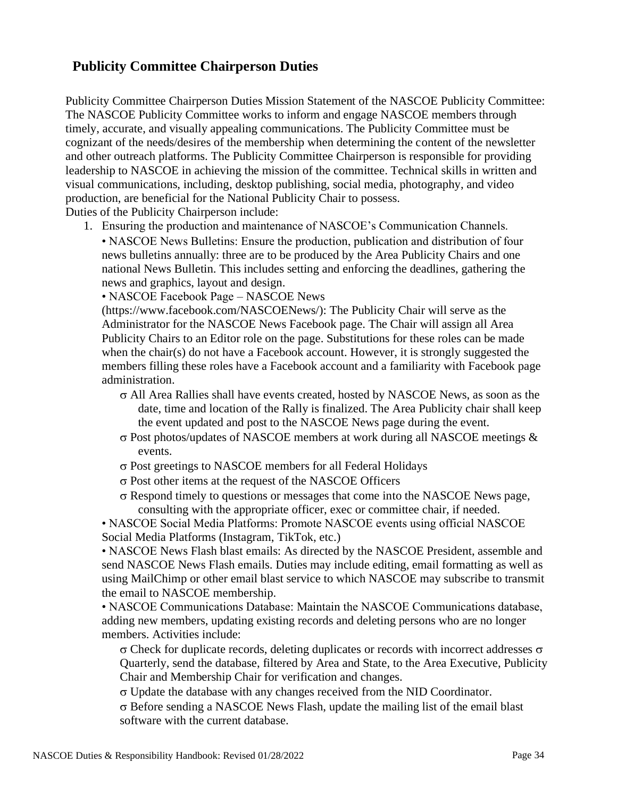# <span id="page-33-0"></span>**Publicity Committee Chairperson Duties**

Publicity Committee Chairperson Duties Mission Statement of the NASCOE Publicity Committee: The NASCOE Publicity Committee works to inform and engage NASCOE members through timely, accurate, and visually appealing communications. The Publicity Committee must be cognizant of the needs/desires of the membership when determining the content of the newsletter and other outreach platforms. The Publicity Committee Chairperson is responsible for providing leadership to NASCOE in achieving the mission of the committee. Technical skills in written and visual communications, including, desktop publishing, social media, photography, and video production, are beneficial for the National Publicity Chair to possess. Duties of the Publicity Chairperson include:

1. Ensuring the production and maintenance of NASCOE's Communication Channels.

• NASCOE News Bulletins: Ensure the production, publication and distribution of four news bulletins annually: three are to be produced by the Area Publicity Chairs and one national News Bulletin. This includes setting and enforcing the deadlines, gathering the news and graphics, layout and design.

• NASCOE Facebook Page – NASCOE News

(https://www.facebook.com/NASCOENews/): The Publicity Chair will serve as the Administrator for the NASCOE News Facebook page. The Chair will assign all Area Publicity Chairs to an Editor role on the page. Substitutions for these roles can be made when the chair(s) do not have a Facebook account. However, it is strongly suggested the members filling these roles have a Facebook account and a familiarity with Facebook page administration.

- $\sigma$  All Area Rallies shall have events created, hosted by NASCOE News, as soon as the date, time and location of the Rally is finalized. The Area Publicity chair shall keep the event updated and post to the NASCOE News page during the event.
- $\sigma$  Post photos/updates of NASCOE members at work during all NASCOE meetings  $\&$ events.
- Post greetings to NASCOE members for all Federal Holidays
- $\sigma$  Post other items at the request of the NASCOE Officers
- $\sigma$  Respond timely to questions or messages that come into the NASCOE News page, consulting with the appropriate officer, exec or committee chair, if needed.

• NASCOE Social Media Platforms: Promote NASCOE events using official NASCOE Social Media Platforms (Instagram, TikTok, etc.)

• NASCOE News Flash blast emails: As directed by the NASCOE President, assemble and send NASCOE News Flash emails. Duties may include editing, email formatting as well as using MailChimp or other email blast service to which NASCOE may subscribe to transmit the email to NASCOE membership.

• NASCOE Communications Database: Maintain the NASCOE Communications database, adding new members, updating existing records and deleting persons who are no longer members. Activities include:

 $\sigma$  Check for duplicate records, deleting duplicates or records with incorrect addresses  $\sigma$ Quarterly, send the database, filtered by Area and State, to the Area Executive, Publicity Chair and Membership Chair for verification and changes.

 $\sigma$  Update the database with any changes received from the NID Coordinator.

 $\sigma$  Before sending a NASCOE News Flash, update the mailing list of the email blast software with the current database.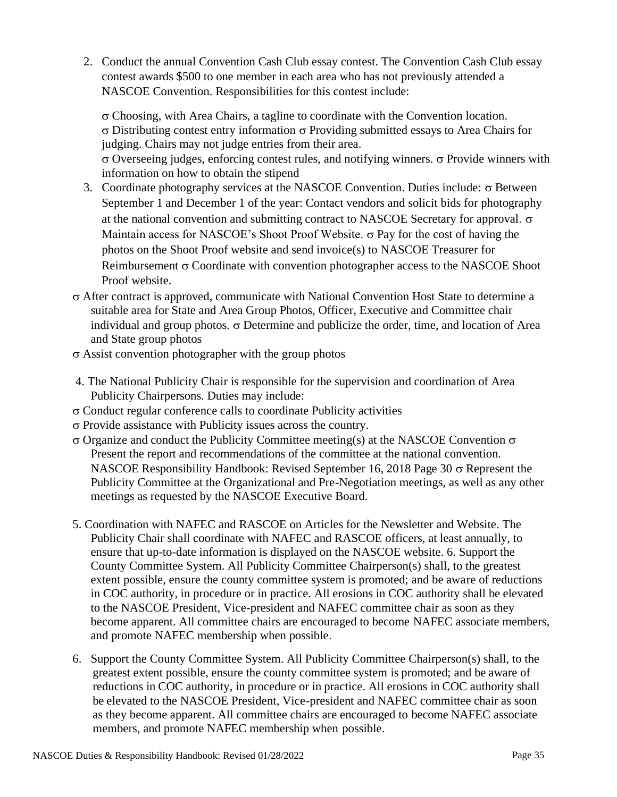2. Conduct the annual Convention Cash Club essay contest. The Convention Cash Club essay contest awards \$500 to one member in each area who has not previously attended a NASCOE Convention. Responsibilities for this contest include:

 $\sigma$  Choosing, with Area Chairs, a tagline to coordinate with the Convention location.  $\sigma$  Distributing contest entry information  $\sigma$  Providing submitted essays to Area Chairs for judging. Chairs may not judge entries from their area.  $\sigma$  Overseeing judges, enforcing contest rules, and notifying winners.  $\sigma$  Provide winners with information on how to obtain the stipend

- 3. Coordinate photography services at the NASCOE Convention. Duties include:  $\sigma$  Between September 1 and December 1 of the year: Contact vendors and solicit bids for photography at the national convention and submitting contract to NASCOE Secretary for approval.  $\sigma$ Maintain access for NASCOE's Shoot Proof Website.  $\sigma$  Pay for the cost of having the photos on the Shoot Proof website and send invoice(s) to NASCOE Treasurer for Reimbursement  $\sigma$  Coordinate with convention photographer access to the NASCOE Shoot Proof website.
- After contract is approved, communicate with National Convention Host State to determine a suitable area for State and Area Group Photos, Officer, Executive and Committee chair individual and group photos.  $\sigma$  Determine and publicize the order, time, and location of Area and State group photos
- $\sigma$  Assist convention photographer with the group photos
- 4. The National Publicity Chair is responsible for the supervision and coordination of Area Publicity Chairpersons. Duties may include:
- $\sigma$  Conduct regular conference calls to coordinate Publicity activities
- $\sigma$  Provide assistance with Publicity issues across the country.
- $\sigma$  Organize and conduct the Publicity Committee meeting(s) at the NASCOE Convention  $\sigma$ Present the report and recommendations of the committee at the national convention. NASCOE Responsibility Handbook: Revised September 16, 2018 Page 30  $\sigma$  Represent the Publicity Committee at the Organizational and Pre-Negotiation meetings, as well as any other meetings as requested by the NASCOE Executive Board.
- 5. Coordination with NAFEC and RASCOE on Articles for the Newsletter and Website. The Publicity Chair shall coordinate with NAFEC and RASCOE officers, at least annually, to ensure that up-to-date information is displayed on the NASCOE website. 6. Support the County Committee System. All Publicity Committee Chairperson(s) shall, to the greatest extent possible, ensure the county committee system is promoted; and be aware of reductions in COC authority, in procedure or in practice. All erosions in COC authority shall be elevated to the NASCOE President, Vice-president and NAFEC committee chair as soon as they become apparent. All committee chairs are encouraged to become NAFEC associate members, and promote NAFEC membership when possible.
- 6. Support the County Committee System. All Publicity Committee Chairperson(s) shall, to the greatest extent possible, ensure the county committee system is promoted; and be aware of reductions in COC authority, in procedure or in practice. All erosions in COC authority shall be elevated to the NASCOE President, Vice-president and NAFEC committee chair as soon as they become apparent. All committee chairs are encouraged to become NAFEC associate members, and promote NAFEC membership when possible.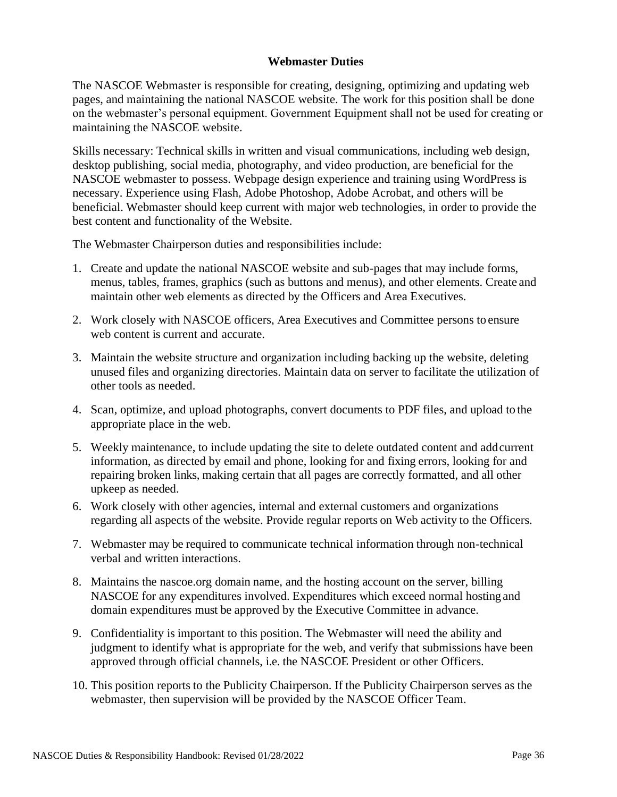#### **Webmaster Duties**

<span id="page-35-0"></span>The NASCOE Webmaster is responsible for creating, designing, optimizing and updating web pages, and maintaining the national NASCOE website. The work for this position shall be done on the webmaster's personal equipment. Government Equipment shall not be used for creating or maintaining the NASCOE website.

Skills necessary: Technical skills in written and visual communications, including web design, desktop publishing, social media, photography, and video production, are beneficial for the NASCOE webmaster to possess. Webpage design experience and training using WordPress is necessary. Experience using Flash, Adobe Photoshop, Adobe Acrobat, and others will be beneficial. Webmaster should keep current with major web technologies, in order to provide the best content and functionality of the Website.

The Webmaster Chairperson duties and responsibilities include:

- 1. Create and update the national NASCOE website and sub-pages that may include forms, menus, tables, frames, graphics (such as buttons and menus), and other elements. Create and maintain other web elements as directed by the Officers and Area Executives.
- 2. Work closely with NASCOE officers, Area Executives and Committee persons to ensure web content is current and accurate.
- 3. Maintain the website structure and organization including backing up the website, deleting unused files and organizing directories. Maintain data on server to facilitate the utilization of other tools as needed.
- 4. Scan, optimize, and upload photographs, convert documents to PDF files, and upload to the appropriate place in the web.
- 5. Weekly maintenance, to include updating the site to delete outdated content and addcurrent information, as directed by email and phone, looking for and fixing errors, looking for and repairing broken links, making certain that all pages are correctly formatted, and all other upkeep as needed.
- 6. Work closely with other agencies, internal and external customers and organizations regarding all aspects of the website. Provide regular reports on Web activity to the Officers.
- 7. Webmaster may be required to communicate technical information through non-technical verbal and written interactions.
- 8. Maintains the nascoe.org domain name, and the hosting account on the server, billing NASCOE for any expenditures involved. Expenditures which exceed normal hosting and domain expenditures must be approved by the Executive Committee in advance.
- 9. Confidentiality is important to this position. The Webmaster will need the ability and judgment to identify what is appropriate for the web, and verify that submissions have been approved through official channels, i.e. the NASCOE President or other Officers.
- 10. This position reports to the Publicity Chairperson. If the Publicity Chairperson serves as the webmaster, then supervision will be provided by the NASCOE Officer Team.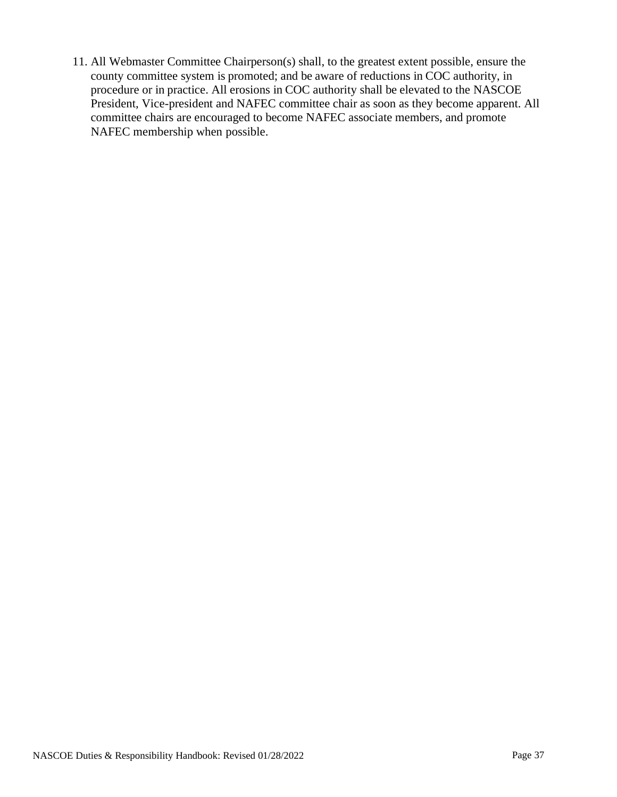11. All Webmaster Committee Chairperson(s) shall, to the greatest extent possible, ensure the county committee system is promoted; and be aware of reductions in COC authority, in procedure or in practice. All erosions in COC authority shall be elevated to the NASCOE President, Vice-president and NAFEC committee chair as soon as they become apparent. All committee chairs are encouraged to become NAFEC associate members, and promote NAFEC membership when possible.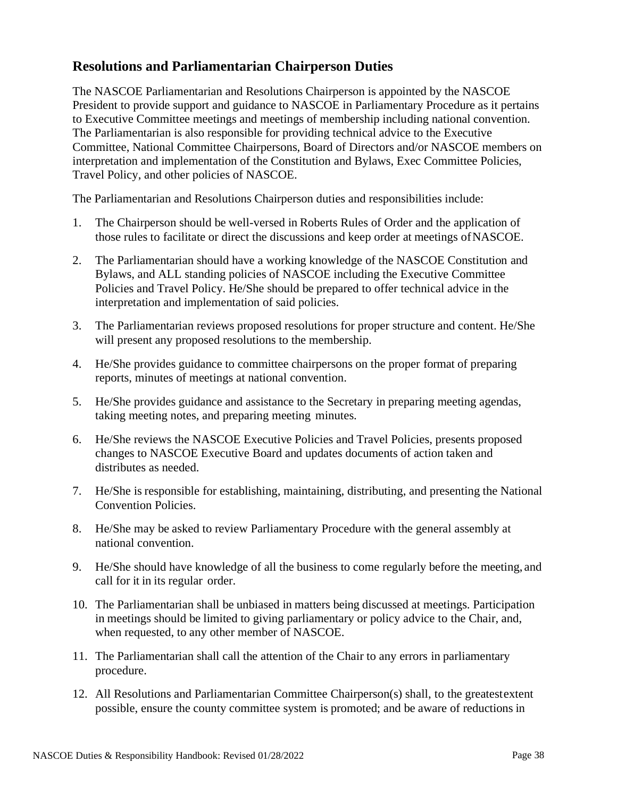## <span id="page-37-0"></span>**Resolutions and Parliamentarian Chairperson Duties**

The NASCOE Parliamentarian and Resolutions Chairperson is appointed by the NASCOE President to provide support and guidance to NASCOE in Parliamentary Procedure as it pertains to Executive Committee meetings and meetings of membership including national convention. The Parliamentarian is also responsible for providing technical advice to the Executive Committee, National Committee Chairpersons, Board of Directors and/or NASCOE members on interpretation and implementation of the Constitution and Bylaws, Exec Committee Policies, Travel Policy, and other policies of NASCOE.

The Parliamentarian and Resolutions Chairperson duties and responsibilities include:

- 1. The Chairperson should be well-versed in Roberts Rules of Order and the application of those rules to facilitate or direct the discussions and keep order at meetings ofNASCOE.
- 2. The Parliamentarian should have a working knowledge of the NASCOE Constitution and Bylaws, and ALL standing policies of NASCOE including the Executive Committee Policies and Travel Policy. He/She should be prepared to offer technical advice in the interpretation and implementation of said policies.
- 3. The Parliamentarian reviews proposed resolutions for proper structure and content. He/She will present any proposed resolutions to the membership.
- 4. He/She provides guidance to committee chairpersons on the proper format of preparing reports, minutes of meetings at national convention.
- 5. He/She provides guidance and assistance to the Secretary in preparing meeting agendas, taking meeting notes, and preparing meeting minutes.
- 6. He/She reviews the NASCOE Executive Policies and Travel Policies, presents proposed changes to NASCOE Executive Board and updates documents of action taken and distributes as needed.
- 7. He/She is responsible for establishing, maintaining, distributing, and presenting the National Convention Policies.
- 8. He/She may be asked to review Parliamentary Procedure with the general assembly at national convention.
- 9. He/She should have knowledge of all the business to come regularly before the meeting, and call for it in its regular order.
- 10. The Parliamentarian shall be unbiased in matters being discussed at meetings. Participation in meetings should be limited to giving parliamentary or policy advice to the Chair, and, when requested, to any other member of NASCOE.
- 11. The Parliamentarian shall call the attention of the Chair to any errors in parliamentary procedure.
- 12. All Resolutions and Parliamentarian Committee Chairperson(s) shall, to the greatestextent possible, ensure the county committee system is promoted; and be aware of reductions in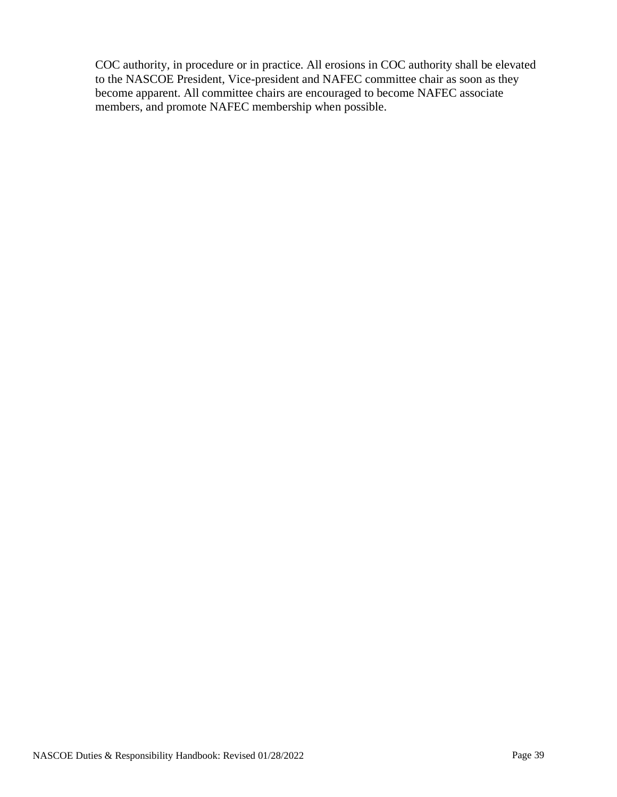COC authority, in procedure or in practice. All erosions in COC authority shall be elevated to the NASCOE President, Vice-president and NAFEC committee chair as soon as they become apparent. All committee chairs are encouraged to become NAFEC associate members, and promote NAFEC membership when possible.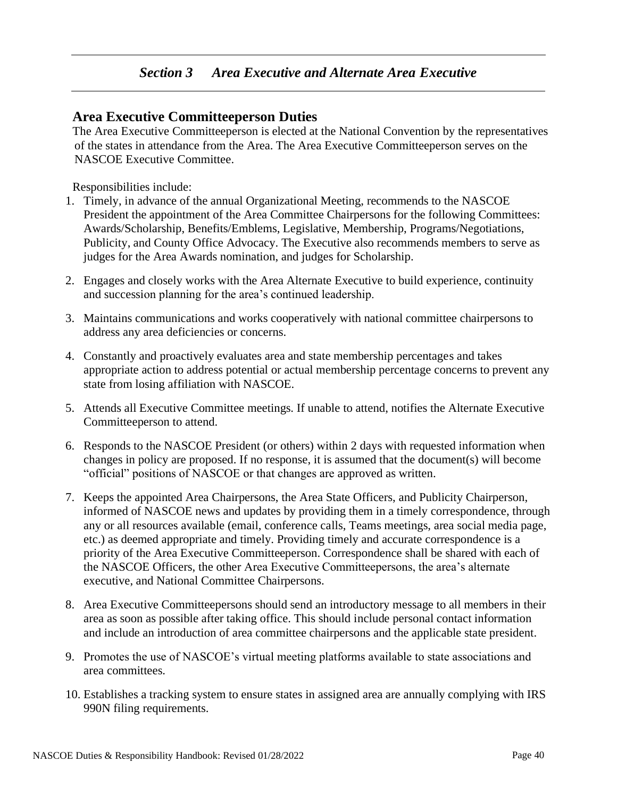## <span id="page-39-1"></span><span id="page-39-0"></span>**Area Executive Committeeperson Duties**

The Area Executive Committeeperson is elected at the National Convention by the representatives of the states in attendance from the Area. The Area Executive Committeeperson serves on the NASCOE Executive Committee.

Responsibilities include:

- 1. Timely, in advance of the annual Organizational Meeting, recommends to the NASCOE President the appointment of the Area Committee Chairpersons for the following Committees: Awards/Scholarship, Benefits/Emblems, Legislative, Membership, Programs/Negotiations, Publicity, and County Office Advocacy. The Executive also recommends members to serve as judges for the Area Awards nomination, and judges for Scholarship.
- 2. Engages and closely works with the Area Alternate Executive to build experience, continuity and succession planning for the area's continued leadership.
- 3. Maintains communications and works cooperatively with national committee chairpersons to address any area deficiencies or concerns.
- 4. Constantly and proactively evaluates area and state membership percentages and takes appropriate action to address potential or actual membership percentage concerns to prevent any state from losing affiliation with NASCOE.
- 5. Attends all Executive Committee meetings. If unable to attend, notifies the Alternate Executive Committeeperson to attend.
- 6. Responds to the NASCOE President (or others) within 2 days with requested information when changes in policy are proposed. If no response, it is assumed that the document(s) will become "official" positions of NASCOE or that changes are approved as written.
- 7. Keeps the appointed Area Chairpersons, the Area State Officers, and Publicity Chairperson, informed of NASCOE news and updates by providing them in a timely correspondence, through any or all resources available (email, conference calls, Teams meetings, area social media page, etc.) as deemed appropriate and timely. Providing timely and accurate correspondence is a priority of the Area Executive Committeeperson. Correspondence shall be shared with each of the NASCOE Officers, the other Area Executive Committeepersons, the area's alternate executive, and National Committee Chairpersons.
- 8. Area Executive Committeepersons should send an introductory message to all members in their area as soon as possible after taking office. This should include personal contact information and include an introduction of area committee chairpersons and the applicable state president.
- 9. Promotes the use of NASCOE's virtual meeting platforms available to state associations and area committees.
- 10. Establishes a tracking system to ensure states in assigned area are annually complying with IRS 990N filing requirements.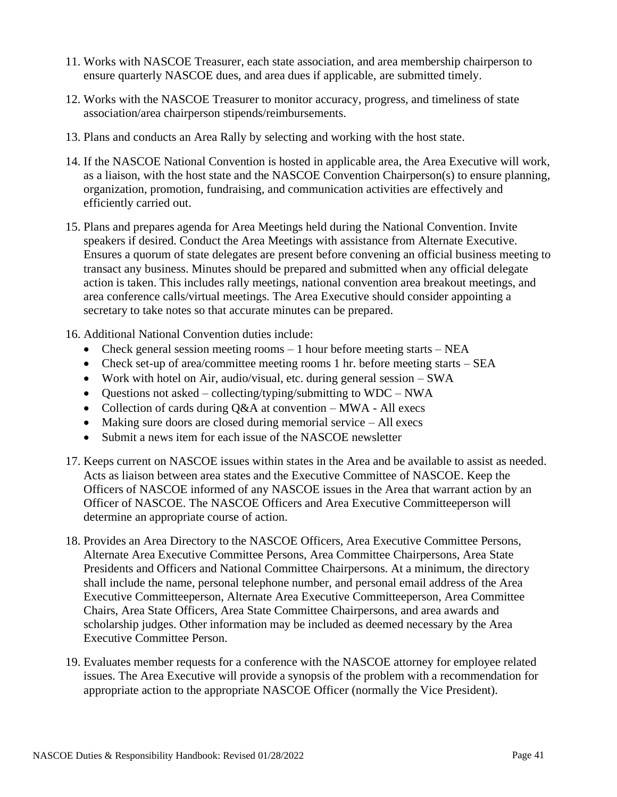- 11. Works with NASCOE Treasurer, each state association, and area membership chairperson to ensure quarterly NASCOE dues, and area dues if applicable, are submitted timely.
- 12. Works with the NASCOE Treasurer to monitor accuracy, progress, and timeliness of state association/area chairperson stipends/reimbursements.
- 13. Plans and conducts an Area Rally by selecting and working with the host state.
- 14. If the NASCOE National Convention is hosted in applicable area, the Area Executive will work, as a liaison, with the host state and the NASCOE Convention Chairperson(s) to ensure planning, organization, promotion, fundraising, and communication activities are effectively and efficiently carried out.
- 15. Plans and prepares agenda for Area Meetings held during the National Convention. Invite speakers if desired. Conduct the Area Meetings with assistance from Alternate Executive. Ensures a quorum of state delegates are present before convening an official business meeting to transact any business. Minutes should be prepared and submitted when any official delegate action is taken. This includes rally meetings, national convention area breakout meetings, and area conference calls/virtual meetings. The Area Executive should consider appointing a secretary to take notes so that accurate minutes can be prepared.
- 16. Additional National Convention duties include:
	- Check general session meeting rooms 1 hour before meeting starts NEA
	- Check set-up of area/committee meeting rooms 1 hr. before meeting starts SEA
	- Work with hotel on Air, audio/visual, etc. during general session SWA
	- Questions not asked collecting/typing/submitting to  $WDC NWA$
	- Collection of cards during Q&A at convention MWA All execs
	- Making sure doors are closed during memorial service All execs
	- Submit a news item for each issue of the NASCOE newsletter
- 17. Keeps current on NASCOE issues within states in the Area and be available to assist as needed. Acts as liaison between area states and the Executive Committee of NASCOE. Keep the Officers of NASCOE informed of any NASCOE issues in the Area that warrant action by an Officer of NASCOE. The NASCOE Officers and Area Executive Committeeperson will determine an appropriate course of action.
- 18. Provides an Area Directory to the NASCOE Officers, Area Executive Committee Persons, Alternate Area Executive Committee Persons, Area Committee Chairpersons, Area State Presidents and Officers and National Committee Chairpersons. At a minimum, the directory shall include the name, personal telephone number, and personal email address of the Area Executive Committeeperson, Alternate Area Executive Committeeperson, Area Committee Chairs, Area State Officers, Area State Committee Chairpersons, and area awards and scholarship judges. Other information may be included as deemed necessary by the Area Executive Committee Person.
- 19. Evaluates member requests for a conference with the NASCOE attorney for employee related issues. The Area Executive will provide a synopsis of the problem with a recommendation for appropriate action to the appropriate NASCOE Officer (normally the Vice President).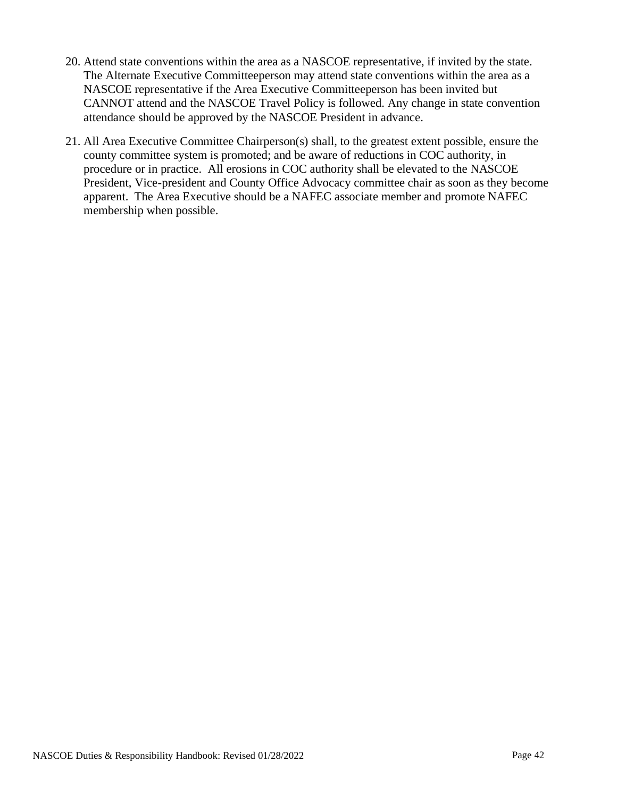- 20. Attend state conventions within the area as a NASCOE representative, if invited by the state. The Alternate Executive Committeeperson may attend state conventions within the area as a NASCOE representative if the Area Executive Committeeperson has been invited but CANNOT attend and the NASCOE Travel Policy is followed. Any change in state convention attendance should be approved by the NASCOE President in advance.
- 21. All Area Executive Committee Chairperson(s) shall, to the greatest extent possible, ensure the county committee system is promoted; and be aware of reductions in COC authority, in procedure or in practice. All erosions in COC authority shall be elevated to the NASCOE President, Vice-president and County Office Advocacy committee chair as soon as they become apparent. The Area Executive should be a NAFEC associate member and promote NAFEC membership when possible.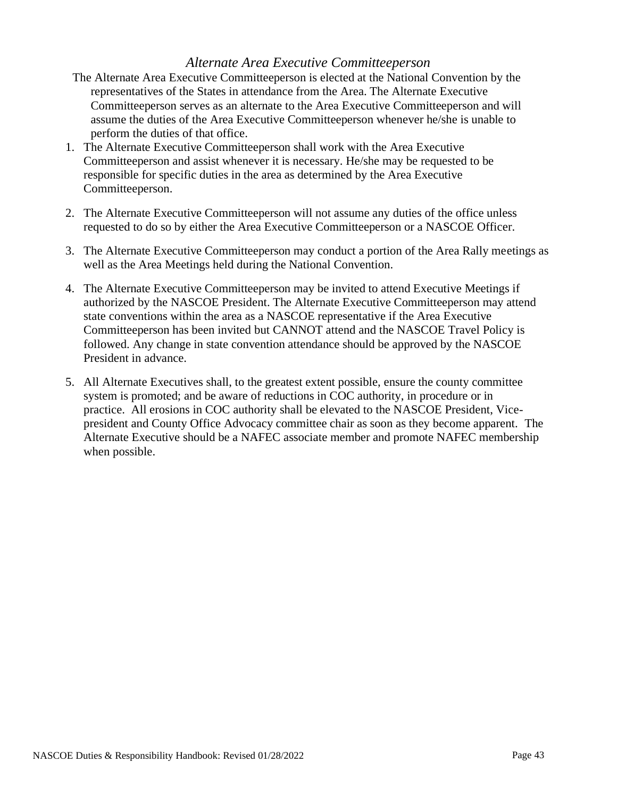## *Alternate Area Executive Committeeperson*

- The Alternate Area Executive Committeeperson is elected at the National Convention by the representatives of the States in attendance from the Area. The Alternate Executive Committeeperson serves as an alternate to the Area Executive Committeeperson and will assume the duties of the Area Executive Committeeperson whenever he/she is unable to perform the duties of that office.
- 1. The Alternate Executive Committeeperson shall work with the Area Executive Committeeperson and assist whenever it is necessary. He/she may be requested to be responsible for specific duties in the area as determined by the Area Executive Committeeperson.
- 2. The Alternate Executive Committeeperson will not assume any duties of the office unless requested to do so by either the Area Executive Committeeperson or a NASCOE Officer.
- 3. The Alternate Executive Committeeperson may conduct a portion of the Area Rally meetings as well as the Area Meetings held during the National Convention.
- 4. The Alternate Executive Committeeperson may be invited to attend Executive Meetings if authorized by the NASCOE President. The Alternate Executive Committeeperson may attend state conventions within the area as a NASCOE representative if the Area Executive Committeeperson has been invited but CANNOT attend and the NASCOE Travel Policy is followed. Any change in state convention attendance should be approved by the NASCOE President in advance.
- 5. All Alternate Executives shall, to the greatest extent possible, ensure the county committee system is promoted; and be aware of reductions in COC authority, in procedure or in practice. All erosions in COC authority shall be elevated to the NASCOE President, Vicepresident and County Office Advocacy committee chair as soon as they become apparent. The Alternate Executive should be a NAFEC associate member and promote NAFEC membership when possible.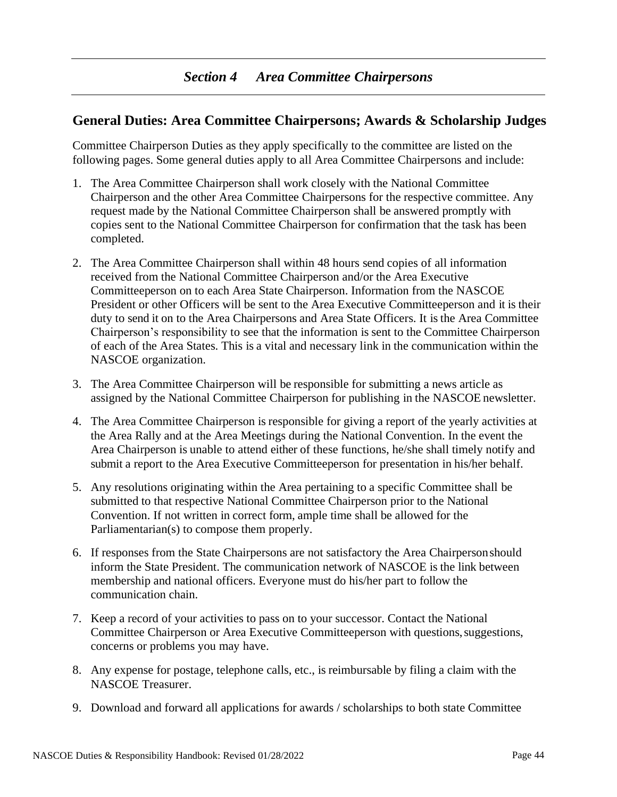## <span id="page-43-1"></span><span id="page-43-0"></span>**General Duties: Area Committee Chairpersons; Awards & Scholarship Judges**

Committee Chairperson Duties as they apply specifically to the committee are listed on the following pages. Some general duties apply to all Area Committee Chairpersons and include:

- 1. The Area Committee Chairperson shall work closely with the National Committee Chairperson and the other Area Committee Chairpersons for the respective committee. Any request made by the National Committee Chairperson shall be answered promptly with copies sent to the National Committee Chairperson for confirmation that the task has been completed.
- 2. The Area Committee Chairperson shall within 48 hours send copies of all information received from the National Committee Chairperson and/or the Area Executive Committeeperson on to each Area State Chairperson. Information from the NASCOE President or other Officers will be sent to the Area Executive Committeeperson and it is their duty to send it on to the Area Chairpersons and Area State Officers. It is the Area Committee Chairperson's responsibility to see that the information is sent to the Committee Chairperson of each of the Area States. This is a vital and necessary link in the communication within the NASCOE organization.
- 3. The Area Committee Chairperson will be responsible for submitting a news article as assigned by the National Committee Chairperson for publishing in the NASCOE newsletter.
- 4. The Area Committee Chairperson is responsible for giving a report of the yearly activities at the Area Rally and at the Area Meetings during the National Convention. In the event the Area Chairperson is unable to attend either of these functions, he/she shall timely notify and submit a report to the Area Executive Committeeperson for presentation in his/her behalf.
- 5. Any resolutions originating within the Area pertaining to a specific Committee shall be submitted to that respective National Committee Chairperson prior to the National Convention. If not written in correct form, ample time shall be allowed for the Parliamentarian(s) to compose them properly.
- 6. If responses from the State Chairpersons are not satisfactory the Area Chairpersonshould inform the State President. The communication network of NASCOE is the link between membership and national officers. Everyone must do his/her part to follow the communication chain.
- 7. Keep a record of your activities to pass on to your successor. Contact the National Committee Chairperson or Area Executive Committeeperson with questions, suggestions, concerns or problems you may have.
- 8. Any expense for postage, telephone calls, etc., is reimbursable by filing a claim with the NASCOE Treasurer.
- 9. Download and forward all applications for awards / scholarships to both state Committee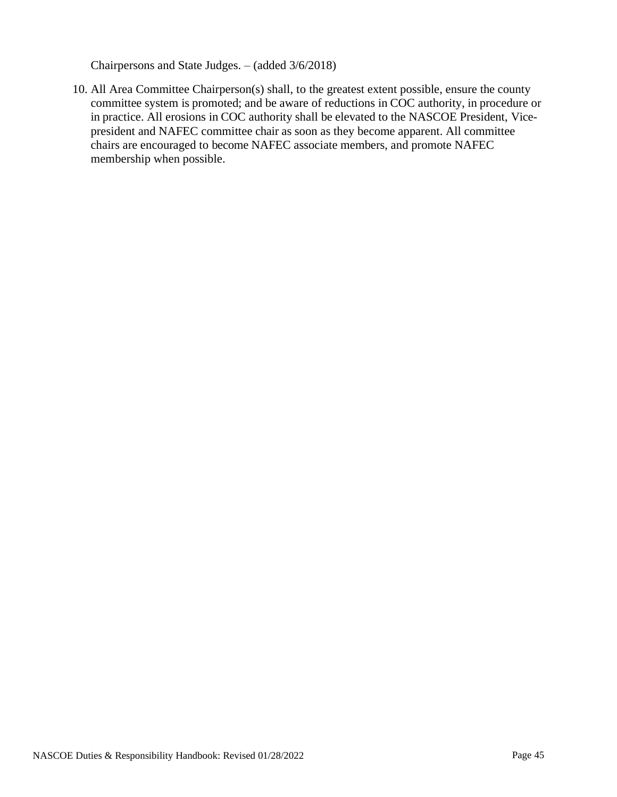Chairpersons and State Judges. – (added 3/6/2018)

10. All Area Committee Chairperson(s) shall, to the greatest extent possible, ensure the county committee system is promoted; and be aware of reductions in COC authority, in procedure or in practice. All erosions in COC authority shall be elevated to the NASCOE President, Vicepresident and NAFEC committee chair as soon as they become apparent. All committee chairs are encouraged to become NAFEC associate members, and promote NAFEC membership when possible.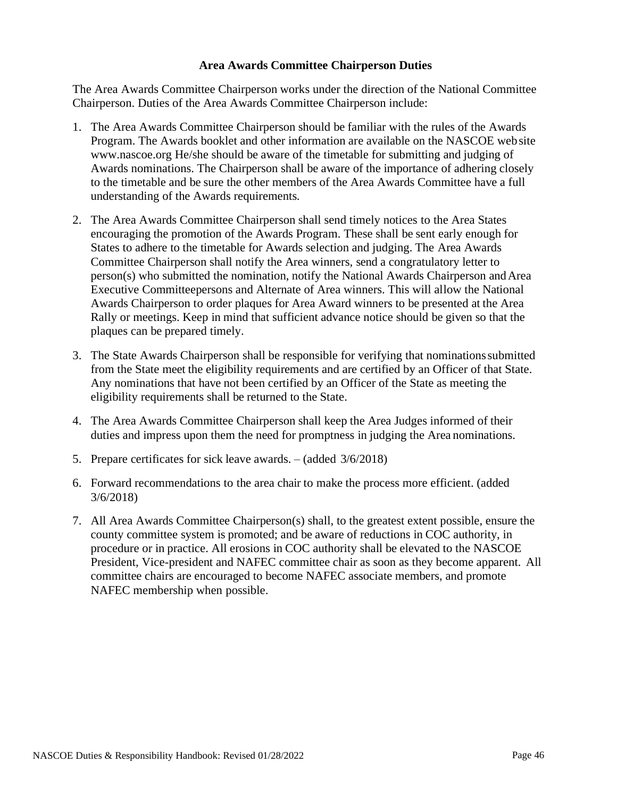#### **Area Awards Committee Chairperson Duties**

<span id="page-45-0"></span>The Area Awards Committee Chairperson works under the direction of the National Committee Chairperson. Duties of the Area Awards Committee Chairperson include:

- 1. The Area Awards Committee Chairperson should be familiar with the rules of the Awards Program. The Awards booklet and other information are available on the NASCOE websit[e](http://www.nascoe.org/) [www.nascoe.org H](http://www.nascoe.org/)e/she should be aware of the timetable for submitting and judging of Awards nominations. The Chairperson shall be aware of the importance of adhering closely to the timetable and be sure the other members of the Area Awards Committee have a full understanding of the Awards requirements.
- 2. The Area Awards Committee Chairperson shall send timely notices to the Area States encouraging the promotion of the Awards Program. These shall be sent early enough for States to adhere to the timetable for Awards selection and judging. The Area Awards Committee Chairperson shall notify the Area winners, send a congratulatory letter to person(s) who submitted the nomination, notify the National Awards Chairperson andArea Executive Committeepersons and Alternate of Area winners. This will allow the National Awards Chairperson to order plaques for Area Award winners to be presented at the Area Rally or meetings. Keep in mind that sufficient advance notice should be given so that the plaques can be prepared timely.
- 3. The State Awards Chairperson shall be responsible for verifying that nominationssubmitted from the State meet the eligibility requirements and are certified by an Officer of that State. Any nominations that have not been certified by an Officer of the State as meeting the eligibility requirements shall be returned to the State.
- 4. The Area Awards Committee Chairperson shall keep the Area Judges informed of their duties and impress upon them the need for promptness in judging the Area nominations.
- 5. Prepare certificates for sick leave awards. (added 3/6/2018)
- 6. Forward recommendations to the area chair to make the process more efficient. (added 3/6/2018)
- 7. All Area Awards Committee Chairperson(s) shall, to the greatest extent possible, ensure the county committee system is promoted; and be aware of reductions in COC authority, in procedure or in practice. All erosions in COC authority shall be elevated to the NASCOE President, Vice-president and NAFEC committee chair as soon as they become apparent. All committee chairs are encouraged to become NAFEC associate members, and promote NAFEC membership when possible.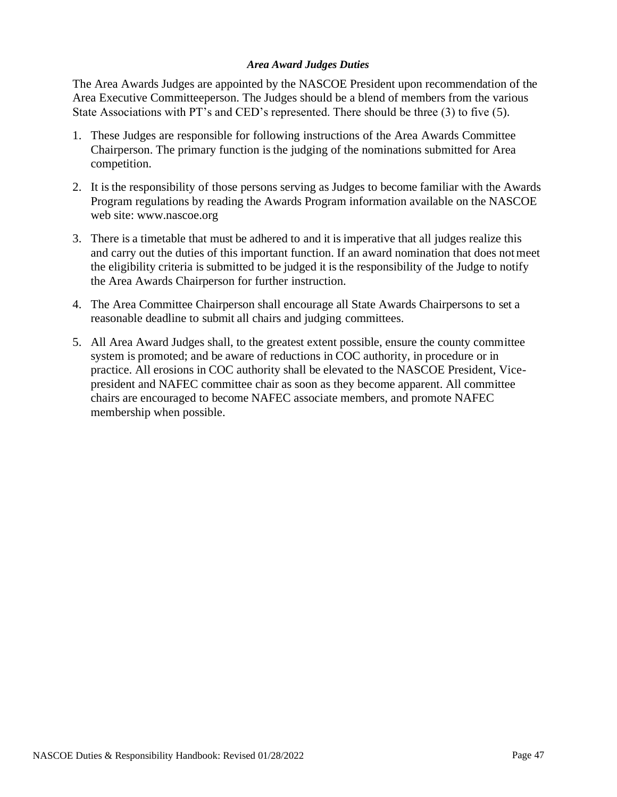#### *Area Award Judges Duties*

<span id="page-46-0"></span>The Area Awards Judges are appointed by the NASCOE President upon recommendation of the Area Executive Committeeperson. The Judges should be a blend of members from the various State Associations with PT's and CED's represented. There should be three (3) to five (5).

- 1. These Judges are responsible for following instructions of the Area Awards Committee Chairperson. The primary function is the judging of the nominations submitted for Area competition.
- 2. It is the responsibility of those persons serving as Judges to become familiar with the Awards Program regulations by reading the Awards Program information available on the NASCOE web site: [www.nascoe.org](http://www.nascoe.org/)
- 3. There is a timetable that must be adhered to and it is imperative that all judges realize this and carry out the duties of this important function. If an award nomination that does notmeet the eligibility criteria is submitted to be judged it is the responsibility of the Judge to notify the Area Awards Chairperson for further instruction.
- 4. The Area Committee Chairperson shall encourage all State Awards Chairpersons to set a reasonable deadline to submit all chairs and judging committees.
- 5. All Area Award Judges shall, to the greatest extent possible, ensure the county committee system is promoted; and be aware of reductions in COC authority, in procedure or in practice. All erosions in COC authority shall be elevated to the NASCOE President, Vicepresident and NAFEC committee chair as soon as they become apparent. All committee chairs are encouraged to become NAFEC associate members, and promote NAFEC membership when possible.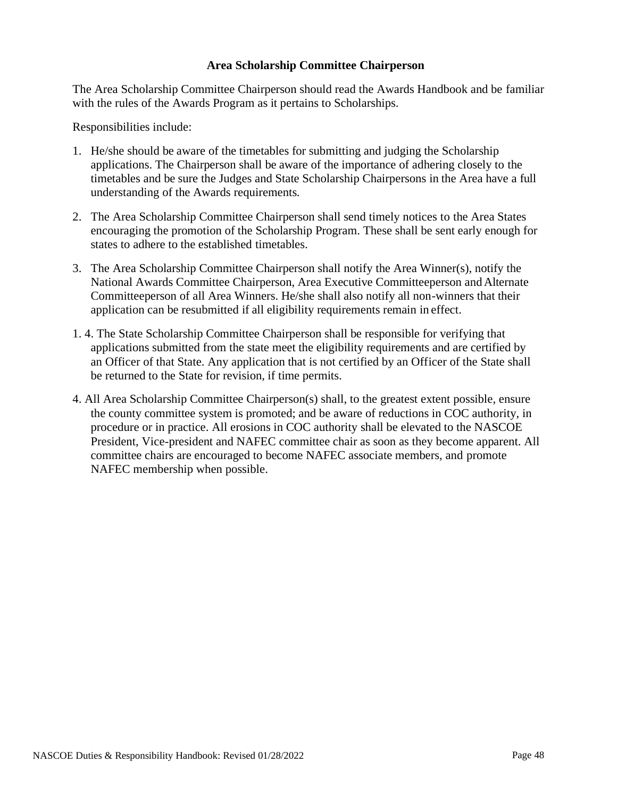#### **Area Scholarship Committee Chairperson**

<span id="page-47-0"></span>The Area Scholarship Committee Chairperson should read the Awards Handbook and be familiar with the rules of the Awards Program as it pertains to Scholarships.

Responsibilities include:

- 1. He/she should be aware of the timetables for submitting and judging the Scholarship applications. The Chairperson shall be aware of the importance of adhering closely to the timetables and be sure the Judges and State Scholarship Chairpersons in the Area have a full understanding of the Awards requirements.
- 2. The Area Scholarship Committee Chairperson shall send timely notices to the Area States encouraging the promotion of the Scholarship Program. These shall be sent early enough for states to adhere to the established timetables.
- 3. The Area Scholarship Committee Chairperson shall notify the Area Winner(s), notify the National Awards Committee Chairperson, Area Executive Committeeperson and Alternate Committeeperson of all Area Winners. He/she shall also notify all non-winners that their application can be resubmitted if all eligibility requirements remain in effect.
- 1. 4. The State Scholarship Committee Chairperson shall be responsible for verifying that applications submitted from the state meet the eligibility requirements and are certified by an Officer of that State. Any application that is not certified by an Officer of the State shall be returned to the State for revision, if time permits.
- 4. All Area Scholarship Committee Chairperson(s) shall, to the greatest extent possible, ensure the county committee system is promoted; and be aware of reductions in COC authority, in procedure or in practice. All erosions in COC authority shall be elevated to the NASCOE President, Vice-president and NAFEC committee chair as soon as they become apparent. All committee chairs are encouraged to become NAFEC associate members, and promote NAFEC membership when possible.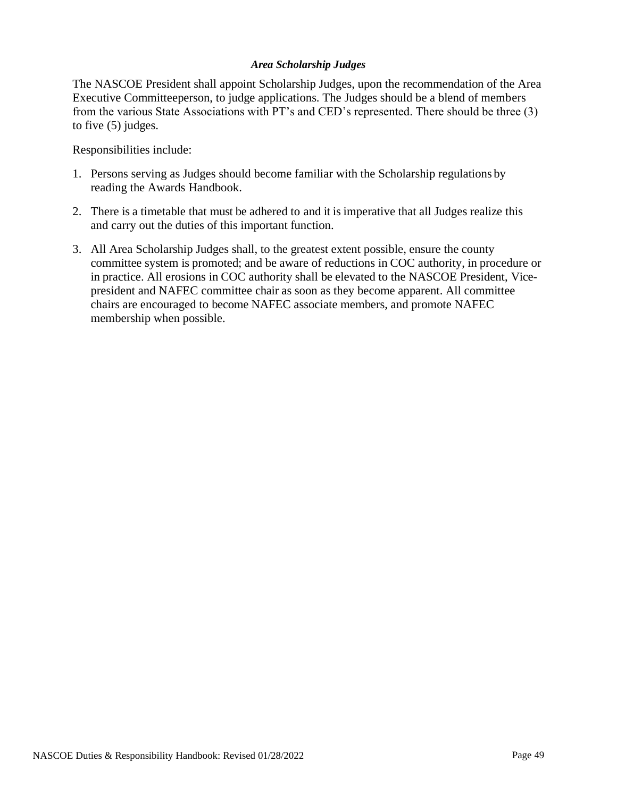#### *Area Scholarship Judges*

<span id="page-48-0"></span>The NASCOE President shall appoint Scholarship Judges, upon the recommendation of the Area Executive Committeeperson, to judge applications. The Judges should be a blend of members from the various State Associations with PT's and CED's represented. There should be three (3) to five (5) judges.

Responsibilities include:

- 1. Persons serving as Judges should become familiar with the Scholarship regulations by reading the Awards Handbook.
- 2. There is a timetable that must be adhered to and it is imperative that all Judges realize this and carry out the duties of this important function.
- 3. All Area Scholarship Judges shall, to the greatest extent possible, ensure the county committee system is promoted; and be aware of reductions in COC authority, in procedure or in practice. All erosions in COC authority shall be elevated to the NASCOE President, Vicepresident and NAFEC committee chair as soon as they become apparent. All committee chairs are encouraged to become NAFEC associate members, and promote NAFEC membership when possible.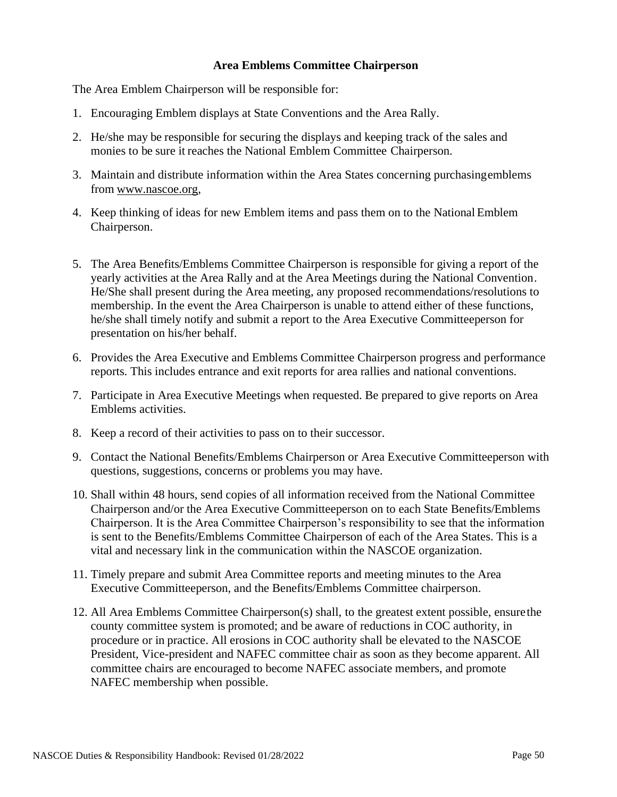#### **Area Emblems Committee Chairperson**

<span id="page-49-0"></span>The Area Emblem Chairperson will be responsible for:

- 1. Encouraging Emblem displays at State Conventions and the Area Rally.
- 2. He/she may be responsible for securing the displays and keeping track of the sales and monies to be sure it reaches the National Emblem Committee Chairperson.
- 3. Maintain and distribute information within the Area States concerning purchasingemblems from [www.nascoe.org,](http://www.nascoe.org/)
- 4. Keep thinking of ideas for new Emblem items and pass them on to the National Emblem Chairperson.
- 5. The Area Benefits/Emblems Committee Chairperson is responsible for giving a report of the yearly activities at the Area Rally and at the Area Meetings during the National Convention. He/She shall present during the Area meeting, any proposed recommendations/resolutions to membership. In the event the Area Chairperson is unable to attend either of these functions, he/she shall timely notify and submit a report to the Area Executive Committeeperson for presentation on his/her behalf.
- 6. Provides the Area Executive and Emblems Committee Chairperson progress and performance reports. This includes entrance and exit reports for area rallies and national conventions.
- 7. Participate in Area Executive Meetings when requested. Be prepared to give reports on Area Emblems activities.
- 8. Keep a record of their activities to pass on to their successor.
- 9. Contact the National Benefits/Emblems Chairperson or Area Executive Committeeperson with questions, suggestions, concerns or problems you may have.
- 10. Shall within 48 hours, send copies of all information received from the National Committee Chairperson and/or the Area Executive Committeeperson on to each State Benefits/Emblems Chairperson. It is the Area Committee Chairperson's responsibility to see that the information is sent to the Benefits/Emblems Committee Chairperson of each of the Area States. This is a vital and necessary link in the communication within the NASCOE organization.
- 11. Timely prepare and submit Area Committee reports and meeting minutes to the Area Executive Committeeperson, and the Benefits/Emblems Committee chairperson.
- 12. All Area Emblems Committee Chairperson(s) shall, to the greatest extent possible, ensurethe county committee system is promoted; and be aware of reductions in COC authority, in procedure or in practice. All erosions in COC authority shall be elevated to the NASCOE President, Vice-president and NAFEC committee chair as soon as they become apparent. All committee chairs are encouraged to become NAFEC associate members, and promote NAFEC membership when possible.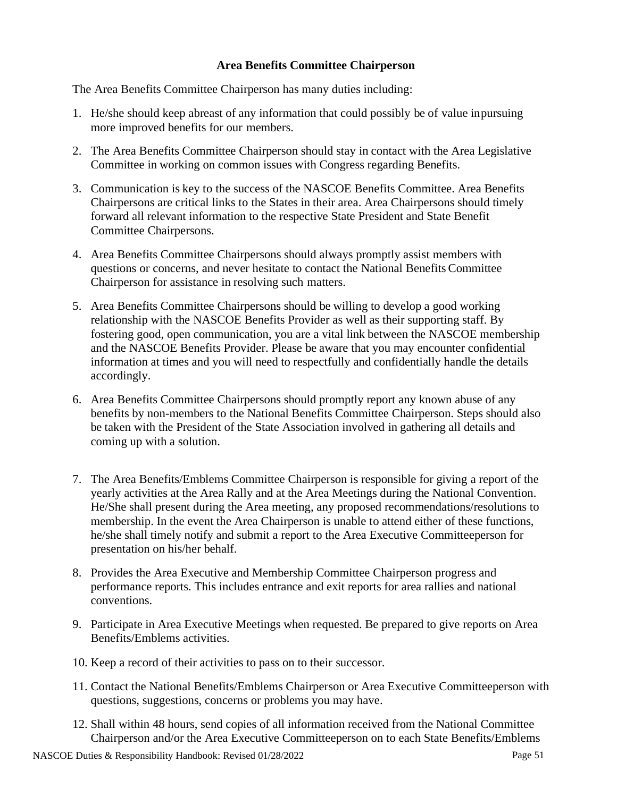## **Area Benefits Committee Chairperson**

<span id="page-50-0"></span>The Area Benefits Committee Chairperson has many duties including:

- 1. He/she should keep abreast of any information that could possibly be of value inpursuing more improved benefits for our members.
- 2. The Area Benefits Committee Chairperson should stay in contact with the Area Legislative Committee in working on common issues with Congress regarding Benefits.
- 3. Communication is key to the success of the NASCOE Benefits Committee. Area Benefits Chairpersons are critical links to the States in their area. Area Chairpersons should timely forward all relevant information to the respective State President and State Benefit Committee Chairpersons.
- 4. Area Benefits Committee Chairpersons should always promptly assist members with questions or concerns, and never hesitate to contact the National Benefits Committee Chairperson for assistance in resolving such matters.
- 5. Area Benefits Committee Chairpersons should be willing to develop a good working relationship with the NASCOE Benefits Provider as well as their supporting staff. By fostering good, open communication, you are a vital link between the NASCOE membership and the NASCOE Benefits Provider. Please be aware that you may encounter confidential information at times and you will need to respectfully and confidentially handle the details accordingly.
- 6. Area Benefits Committee Chairpersons should promptly report any known abuse of any benefits by non-members to the National Benefits Committee Chairperson. Steps should also be taken with the President of the State Association involved in gathering all details and coming up with a solution.
- 7. The Area Benefits/Emblems Committee Chairperson is responsible for giving a report of the yearly activities at the Area Rally and at the Area Meetings during the National Convention. He/She shall present during the Area meeting, any proposed recommendations/resolutions to membership. In the event the Area Chairperson is unable to attend either of these functions, he/she shall timely notify and submit a report to the Area Executive Committeeperson for presentation on his/her behalf.
- 8. Provides the Area Executive and Membership Committee Chairperson progress and performance reports. This includes entrance and exit reports for area rallies and national conventions.
- 9. Participate in Area Executive Meetings when requested. Be prepared to give reports on Area Benefits/Emblems activities.
- 10. Keep a record of their activities to pass on to their successor.
- 11. Contact the National Benefits/Emblems Chairperson or Area Executive Committeeperson with questions, suggestions, concerns or problems you may have.
- 12. Shall within 48 hours, send copies of all information received from the National Committee Chairperson and/or the Area Executive Committeeperson on to each State Benefits/Emblems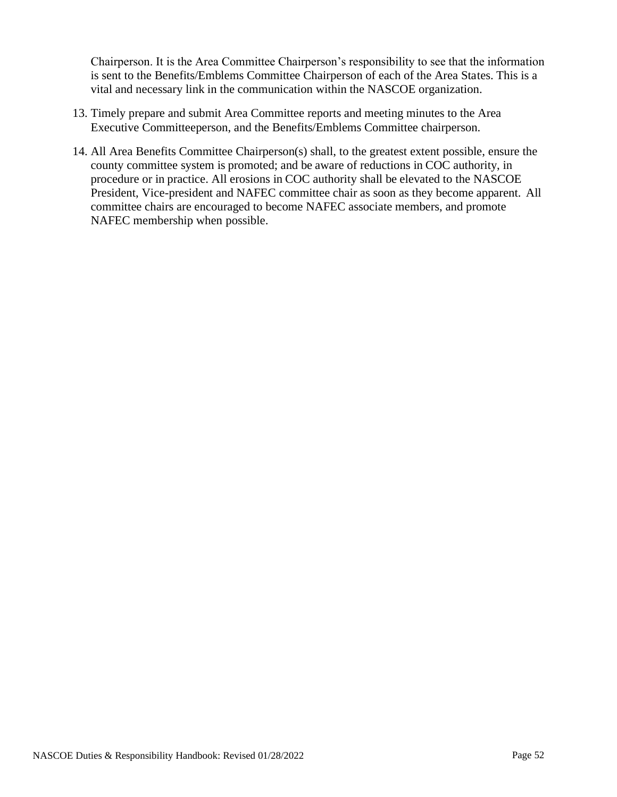Chairperson. It is the Area Committee Chairperson's responsibility to see that the information is sent to the Benefits/Emblems Committee Chairperson of each of the Area States. This is a vital and necessary link in the communication within the NASCOE organization.

- 13. Timely prepare and submit Area Committee reports and meeting minutes to the Area Executive Committeeperson, and the Benefits/Emblems Committee chairperson.
- 14. All Area Benefits Committee Chairperson(s) shall, to the greatest extent possible, ensure the county committee system is promoted; and be aware of reductions in COC authority, in procedure or in practice. All erosions in COC authority shall be elevated to the NASCOE President, Vice-president and NAFEC committee chair as soon as they become apparent. All committee chairs are encouraged to become NAFEC associate members, and promote NAFEC membership when possible.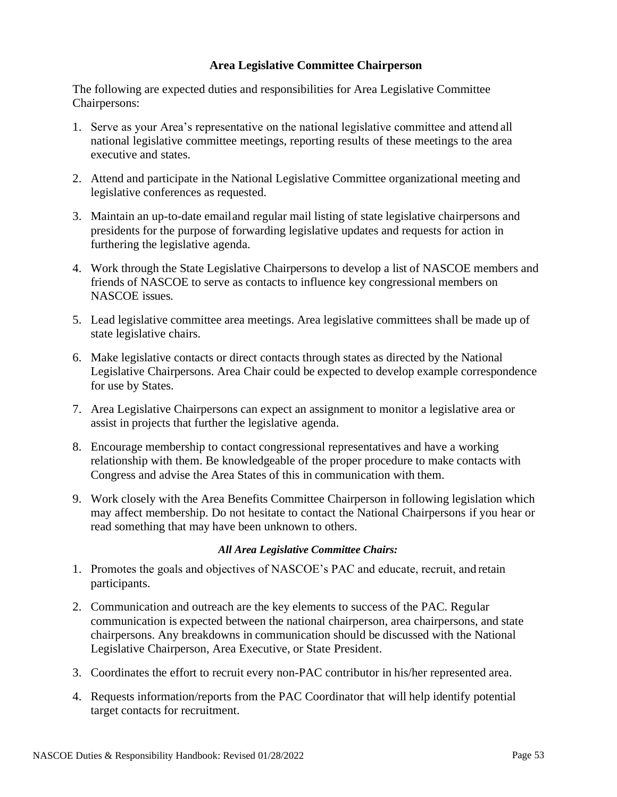#### **Area Legislative Committee Chairperson**

<span id="page-52-0"></span>The following are expected duties and responsibilities for Area Legislative Committee Chairpersons:

- 1. Serve as your Area's representative on the national legislative committee and attend all national legislative committee meetings, reporting results of these meetings to the area executive and states.
- 2. Attend and participate in the National Legislative Committee organizational meeting and legislative conferences as requested.
- 3. Maintain an up-to-date emailand regular mail listing of state legislative chairpersons and presidents for the purpose of forwarding legislative updates and requests for action in furthering the legislative agenda.
- 4. Work through the State Legislative Chairpersons to develop a list of NASCOE members and friends of NASCOE to serve as contacts to influence key congressional members on NASCOE issues.
- 5. Lead legislative committee area meetings. Area legislative committees shall be made up of state legislative chairs.
- 6. Make legislative contacts or direct contacts through states as directed by the National Legislative Chairpersons. Area Chair could be expected to develop example correspondence for use by States.
- 7. Area Legislative Chairpersons can expect an assignment to monitor a legislative area or assist in projects that further the legislative agenda.
- 8. Encourage membership to contact congressional representatives and have a working relationship with them. Be knowledgeable of the proper procedure to make contacts with Congress and advise the Area States of this in communication with them.
- 9. Work closely with the Area Benefits Committee Chairperson in following legislation which may affect membership. Do not hesitate to contact the National Chairpersons if you hear or read something that may have been unknown to others.

#### *All Area Legislative Committee Chairs:*

- <span id="page-52-1"></span>1. Promotes the goals and objectives of NASCOE's PAC and educate, recruit, and retain participants.
- 2. Communication and outreach are the key elements to success of the PAC. Regular communication is expected between the national chairperson, area chairpersons, and state chairpersons. Any breakdowns in communication should be discussed with the National Legislative Chairperson, Area Executive, or State President.
- 3. Coordinates the effort to recruit every non-PAC contributor in his/her represented area.
- 4. Requests information/reports from the PAC Coordinator that will help identify potential target contacts for recruitment.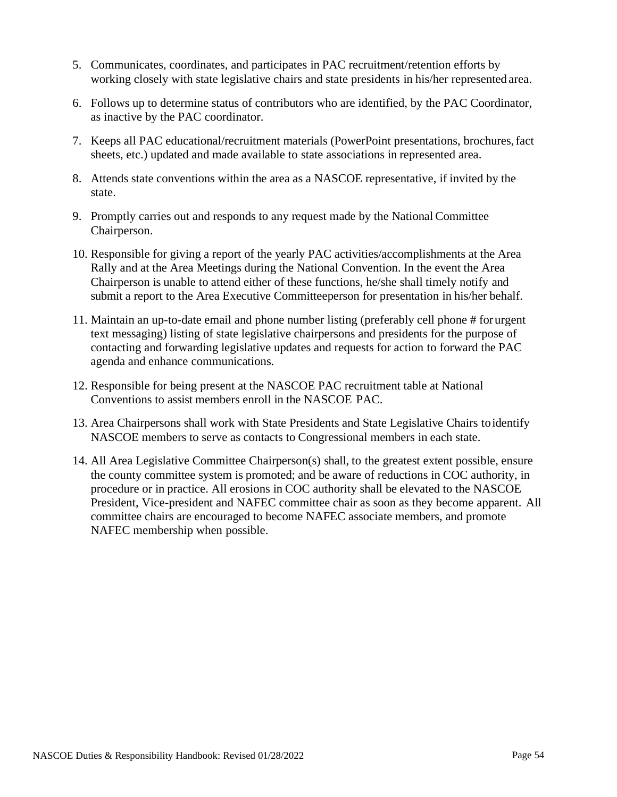- 5. Communicates, coordinates, and participates in PAC recruitment/retention efforts by working closely with state legislative chairs and state presidents in his/her represented area.
- 6. Follows up to determine status of contributors who are identified, by the PAC Coordinator, as inactive by the PAC coordinator.
- 7. Keeps all PAC educational/recruitment materials (PowerPoint presentations, brochures,fact sheets, etc.) updated and made available to state associations in represented area.
- 8. Attends state conventions within the area as a NASCOE representative, if invited by the state.
- 9. Promptly carries out and responds to any request made by the National Committee Chairperson.
- 10. Responsible for giving a report of the yearly PAC activities/accomplishments at the Area Rally and at the Area Meetings during the National Convention. In the event the Area Chairperson is unable to attend either of these functions, he/she shall timely notify and submit a report to the Area Executive Committeeperson for presentation in his/her behalf.
- 11. Maintain an up-to-date email and phone number listing (preferably cell phone # forurgent text messaging) listing of state legislative chairpersons and presidents for the purpose of contacting and forwarding legislative updates and requests for action to forward the PAC agenda and enhance communications.
- 12. Responsible for being present at the NASCOE PAC recruitment table at National Conventions to assist members enroll in the NASCOE PAC.
- 13. Area Chairpersons shall work with State Presidents and State Legislative Chairs toidentify NASCOE members to serve as contacts to Congressional members in each state.
- 14. All Area Legislative Committee Chairperson(s) shall, to the greatest extent possible, ensure the county committee system is promoted; and be aware of reductions in COC authority, in procedure or in practice. All erosions in COC authority shall be elevated to the NASCOE President, Vice-president and NAFEC committee chair as soon as they become apparent. All committee chairs are encouraged to become NAFEC associate members, and promote NAFEC membership when possible.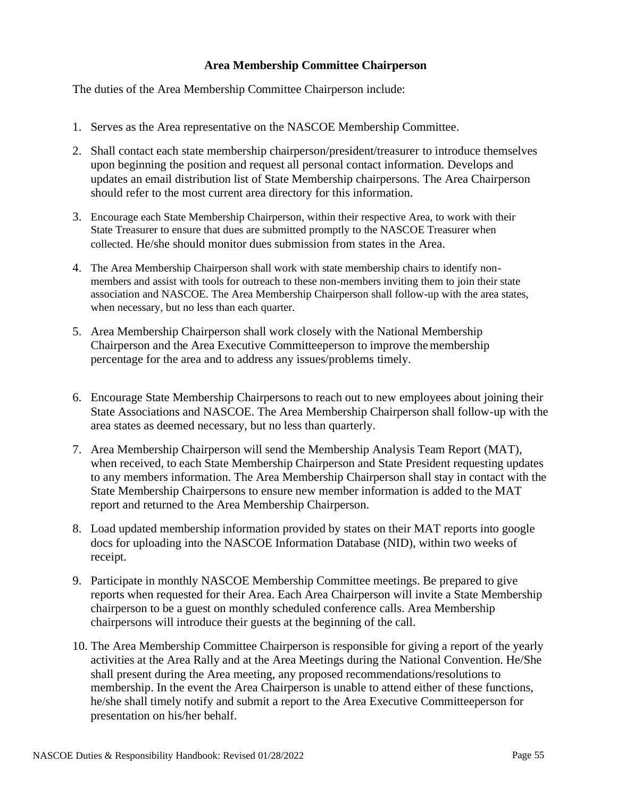## **Area Membership Committee Chairperson**

<span id="page-54-0"></span>The duties of the Area Membership Committee Chairperson include:

- 1. Serves as the Area representative on the NASCOE Membership Committee.
- 2. Shall contact each state membership chairperson/president/treasurer to introduce themselves upon beginning the position and request all personal contact information. Develops and updates an email distribution list of State Membership chairpersons. The Area Chairperson should refer to the most current area directory for this information.
- 3. Encourage each State Membership Chairperson, within their respective Area, to work with their State Treasurer to ensure that dues are submitted promptly to the NASCOE Treasurer when collected. He/she should monitor dues submission from states in the Area.
- 4. The Area Membership Chairperson shall work with state membership chairs to identify nonmembers and assist with tools for outreach to these non-members inviting them to join their state association and NASCOE. The Area Membership Chairperson shall follow-up with the area states, when necessary, but no less than each quarter.
- 5. Area Membership Chairperson shall work closely with the National Membership Chairperson and the Area Executive Committeeperson to improve themembership percentage for the area and to address any issues/problems timely.
- 6. Encourage State Membership Chairpersons to reach out to new employees about joining their State Associations and NASCOE. The Area Membership Chairperson shall follow-up with the area states as deemed necessary, but no less than quarterly.
- 7. Area Membership Chairperson will send the Membership Analysis Team Report (MAT), when received, to each State Membership Chairperson and State President requesting updates to any members information. The Area Membership Chairperson shall stay in contact with the State Membership Chairpersons to ensure new member information is added to the MAT report and returned to the Area Membership Chairperson.
- 8. Load updated membership information provided by states on their MAT reports into google docs for uploading into the NASCOE Information Database (NID), within two weeks of receipt.
- 9. Participate in monthly NASCOE Membership Committee meetings. Be prepared to give reports when requested for their Area. Each Area Chairperson will invite a State Membership chairperson to be a guest on monthly scheduled conference calls. Area Membership chairpersons will introduce their guests at the beginning of the call.
- 10. The Area Membership Committee Chairperson is responsible for giving a report of the yearly activities at the Area Rally and at the Area Meetings during the National Convention. He/She shall present during the Area meeting, any proposed recommendations/resolutions to membership. In the event the Area Chairperson is unable to attend either of these functions, he/she shall timely notify and submit a report to the Area Executive Committeeperson for presentation on his/her behalf.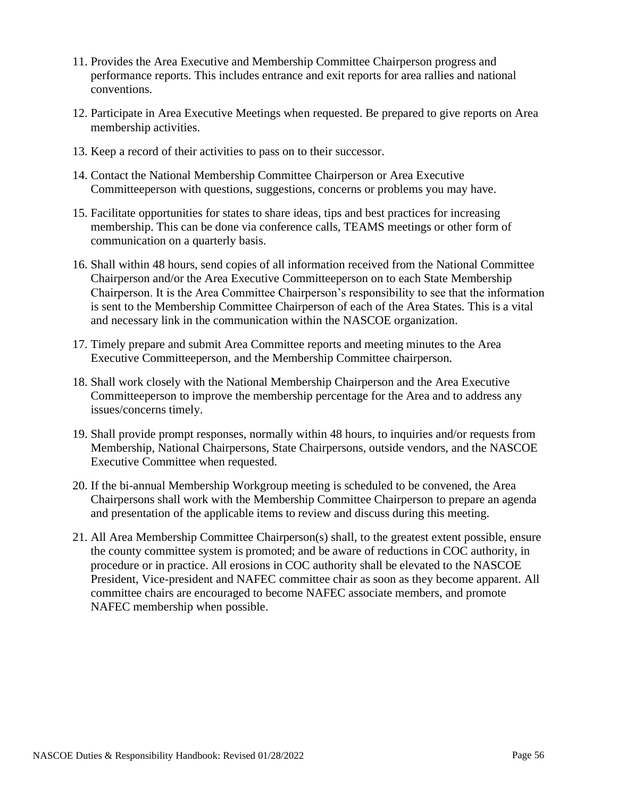- 11. Provides the Area Executive and Membership Committee Chairperson progress and performance reports. This includes entrance and exit reports for area rallies and national conventions.
- 12. Participate in Area Executive Meetings when requested. Be prepared to give reports on Area membership activities.
- 13. Keep a record of their activities to pass on to their successor.
- 14. Contact the National Membership Committee Chairperson or Area Executive Committeeperson with questions, suggestions, concerns or problems you may have.
- 15. Facilitate opportunities for states to share ideas, tips and best practices for increasing membership. This can be done via conference calls, TEAMS meetings or other form of communication on a quarterly basis.
- 16. Shall within 48 hours, send copies of all information received from the National Committee Chairperson and/or the Area Executive Committeeperson on to each State Membership Chairperson. It is the Area Committee Chairperson's responsibility to see that the information is sent to the Membership Committee Chairperson of each of the Area States. This is a vital and necessary link in the communication within the NASCOE organization.
- 17. Timely prepare and submit Area Committee reports and meeting minutes to the Area Executive Committeeperson, and the Membership Committee chairperson.
- 18. Shall work closely with the National Membership Chairperson and the Area Executive Committeeperson to improve the membership percentage for the Area and to address any issues/concerns timely.
- 19. Shall provide prompt responses, normally within 48 hours, to inquiries and/or requests from Membership, National Chairpersons, State Chairpersons, outside vendors, and the NASCOE Executive Committee when requested.
- 20. If the bi-annual Membership Workgroup meeting is scheduled to be convened, the Area Chairpersons shall work with the Membership Committee Chairperson to prepare an agenda and presentation of the applicable items to review and discuss during this meeting.
- 21. All Area Membership Committee Chairperson(s) shall, to the greatest extent possible, ensure the county committee system is promoted; and be aware of reductions in COC authority, in procedure or in practice. All erosions in COC authority shall be elevated to the NASCOE President, Vice-president and NAFEC committee chair as soon as they become apparent. All committee chairs are encouraged to become NAFEC associate members, and promote NAFEC membership when possible.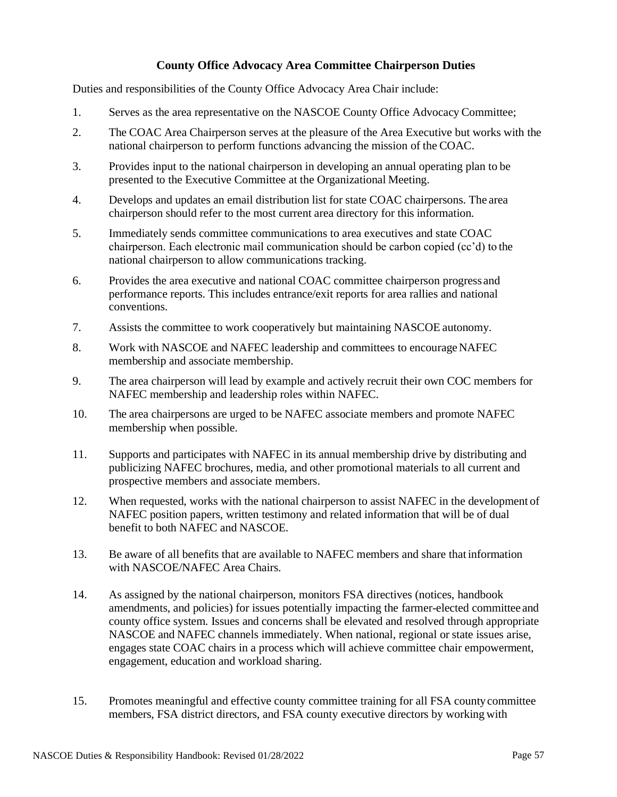## **County Office Advocacy Area Committee Chairperson Duties**

<span id="page-56-0"></span>Duties and responsibilities of the County Office Advocacy Area Chair include:

- 1. Serves as the area representative on the NASCOE County Office Advocacy Committee;
- 2. The COAC Area Chairperson serves at the pleasure of the Area Executive but works with the national chairperson to perform functions advancing the mission of the COAC.
- 3. Provides input to the national chairperson in developing an annual operating plan to be presented to the Executive Committee at the Organizational Meeting.
- 4. Develops and updates an email distribution list for state COAC chairpersons. The area chairperson should refer to the most current area directory for this information.
- 5. Immediately sends committee communications to area executives and state COAC chairperson. Each electronic mail communication should be carbon copied (cc'd) to the national chairperson to allow communications tracking.
- 6. Provides the area executive and national COAC committee chairperson progress and performance reports. This includes entrance/exit reports for area rallies and national conventions.
- 7. Assists the committee to work cooperatively but maintaining NASCOE autonomy.
- 8. Work with NASCOE and NAFEC leadership and committees to encourageNAFEC membership and associate membership.
- 9. The area chairperson will lead by example and actively recruit their own COC members for NAFEC membership and leadership roles within NAFEC.
- 10. The area chairpersons are urged to be NAFEC associate members and promote NAFEC membership when possible.
- 11. Supports and participates with NAFEC in its annual membership drive by distributing and publicizing NAFEC brochures, media, and other promotional materials to all current and prospective members and associate members.
- 12. When requested, works with the national chairperson to assist NAFEC in the development of NAFEC position papers, written testimony and related information that will be of dual benefit to both NAFEC and NASCOE.
- 13. Be aware of all benefits that are available to NAFEC members and share that information with NASCOE/NAFEC Area Chairs.
- 14. As assigned by the national chairperson, monitors FSA directives (notices, handbook amendments, and policies) for issues potentially impacting the farmer-elected committee and county office system. Issues and concerns shall be elevated and resolved through appropriate NASCOE and NAFEC channels immediately. When national, regional or state issues arise, engages state COAC chairs in a process which will achieve committee chair empowerment, engagement, education and workload sharing.
- 15. Promotes meaningful and effective county committee training for all FSA countycommittee members, FSA district directors, and FSA county executive directors by working with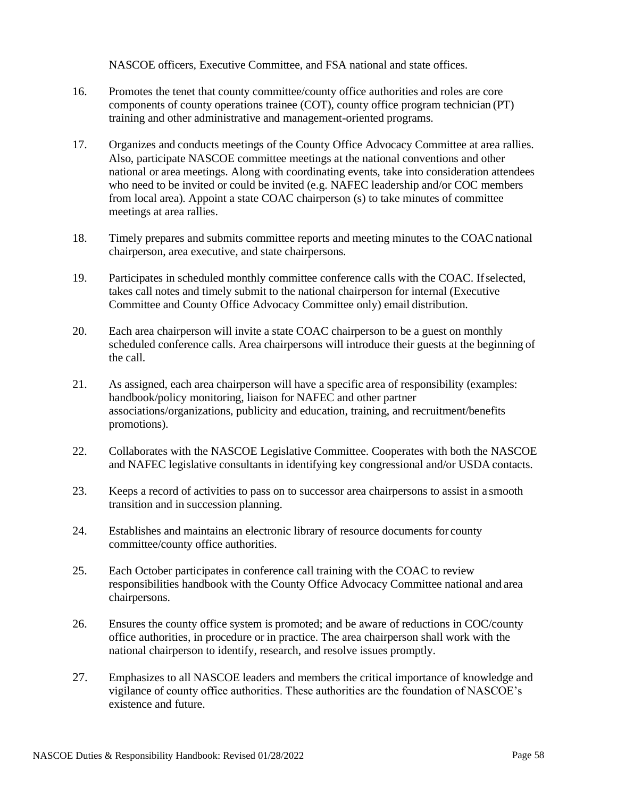NASCOE officers, Executive Committee, and FSA national and state offices.

- 16. Promotes the tenet that county committee/county office authorities and roles are core components of county operations trainee (COT), county office program technician (PT) training and other administrative and management-oriented programs.
- 17. Organizes and conducts meetings of the County Office Advocacy Committee at area rallies. Also, participate NASCOE committee meetings at the national conventions and other national or area meetings. Along with coordinating events, take into consideration attendees who need to be invited or could be invited (e.g. NAFEC leadership and/or COC members from local area). Appoint a state COAC chairperson (s) to take minutes of committee meetings at area rallies.
- 18. Timely prepares and submits committee reports and meeting minutes to the COACnational chairperson, area executive, and state chairpersons.
- 19. Participates in scheduled monthly committee conference calls with the COAC. Ifselected, takes call notes and timely submit to the national chairperson for internal (Executive Committee and County Office Advocacy Committee only) email distribution.
- 20. Each area chairperson will invite a state COAC chairperson to be a guest on monthly scheduled conference calls. Area chairpersons will introduce their guests at the beginning of the call.
- 21. As assigned, each area chairperson will have a specific area of responsibility (examples: handbook/policy monitoring, liaison for NAFEC and other partner associations/organizations, publicity and education, training, and recruitment/benefits promotions).
- 22. Collaborates with the NASCOE Legislative Committee. Cooperates with both the NASCOE and NAFEC legislative consultants in identifying key congressional and/or USDA contacts.
- 23. Keeps a record of activities to pass on to successor area chairpersons to assist in a smooth transition and in succession planning.
- 24. Establishes and maintains an electronic library of resource documents for county committee/county office authorities.
- 25. Each October participates in conference call training with the COAC to review responsibilities handbook with the County Office Advocacy Committee national and area chairpersons.
- 26. Ensures the county office system is promoted; and be aware of reductions in COC/county office authorities, in procedure or in practice. The area chairperson shall work with the national chairperson to identify, research, and resolve issues promptly.
- 27. Emphasizes to all NASCOE leaders and members the critical importance of knowledge and vigilance of county office authorities. These authorities are the foundation of NASCOE's existence and future.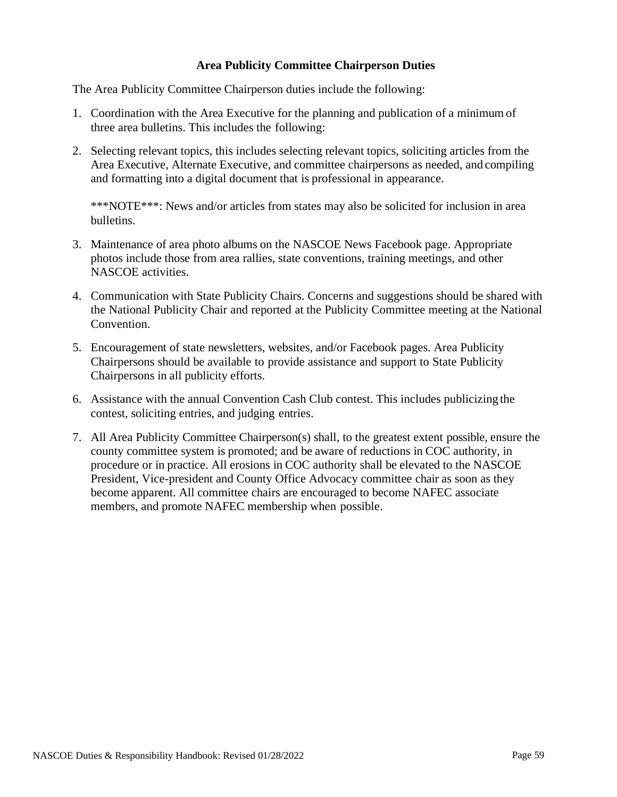## **Area Publicity Committee Chairperson Duties**

<span id="page-58-0"></span>The Area Publicity Committee Chairperson duties include the following:

- 1. Coordination with the Area Executive for the planning and publication of a minimum of three area bulletins. This includes the following:
- 2. Selecting relevant topics, this includes selecting relevant topics, soliciting articles from the Area Executive, Alternate Executive, and committee chairpersons as needed, and compiling and formatting into a digital document that is professional in appearance.

\*\*\*NOTE\*\*\*: News and/or articles from states may also be solicited for inclusion in area bulletins.

- 3. Maintenance of area photo albums on the NASCOE News Facebook page. Appropriate photos include those from area rallies, state conventions, training meetings, and other NASCOE activities.
- 4. Communication with State Publicity Chairs. Concerns and suggestions should be shared with the National Publicity Chair and reported at the Publicity Committee meeting at the National Convention.
- 5. Encouragement of state newsletters, websites, and/or Facebook pages. Area Publicity Chairpersons should be available to provide assistance and support to State Publicity Chairpersons in all publicity efforts.
- 6. Assistance with the annual Convention Cash Club contest. This includes publicizing the contest, soliciting entries, and judging entries.
- 7. All Area Publicity Committee Chairperson(s) shall, to the greatest extent possible, ensure the county committee system is promoted; and be aware of reductions in COC authority, in procedure or in practice. All erosions in COC authority shall be elevated to the NASCOE President, Vice-president and County Office Advocacy committee chair as soon as they become apparent. All committee chairs are encouraged to become NAFEC associate members, and promote NAFEC membership when possible.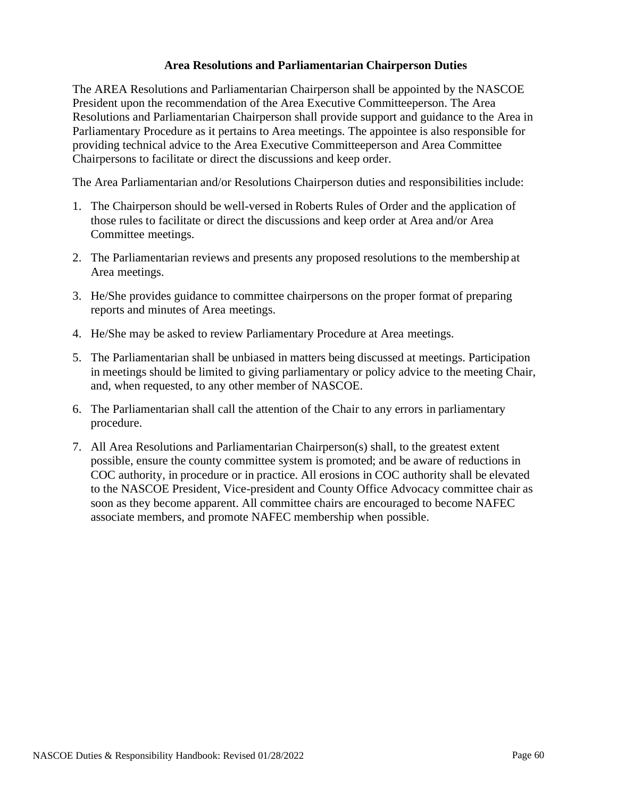#### **Area Resolutions and Parliamentarian Chairperson Duties**

<span id="page-59-0"></span>The AREA Resolutions and Parliamentarian Chairperson shall be appointed by the NASCOE President upon the recommendation of the Area Executive Committeeperson. The Area Resolutions and Parliamentarian Chairperson shall provide support and guidance to the Area in Parliamentary Procedure as it pertains to Area meetings. The appointee is also responsible for providing technical advice to the Area Executive Committeeperson and Area Committee Chairpersons to facilitate or direct the discussions and keep order.

The Area Parliamentarian and/or Resolutions Chairperson duties and responsibilities include:

- 1. The Chairperson should be well-versed in Roberts Rules of Order and the application of those rules to facilitate or direct the discussions and keep order at Area and/or Area Committee meetings.
- 2. The Parliamentarian reviews and presents any proposed resolutions to the membership at Area meetings.
- 3. He/She provides guidance to committee chairpersons on the proper format of preparing reports and minutes of Area meetings.
- 4. He/She may be asked to review Parliamentary Procedure at Area meetings.
- 5. The Parliamentarian shall be unbiased in matters being discussed at meetings. Participation in meetings should be limited to giving parliamentary or policy advice to the meeting Chair, and, when requested, to any other member of NASCOE.
- 6. The Parliamentarian shall call the attention of the Chair to any errors in parliamentary procedure.
- 7. All Area Resolutions and Parliamentarian Chairperson(s) shall, to the greatest extent possible, ensure the county committee system is promoted; and be aware of reductions in COC authority, in procedure or in practice. All erosions in COC authority shall be elevated to the NASCOE President, Vice-president and County Office Advocacy committee chair as soon as they become apparent. All committee chairs are encouraged to become NAFEC associate members, and promote NAFEC membership when possible.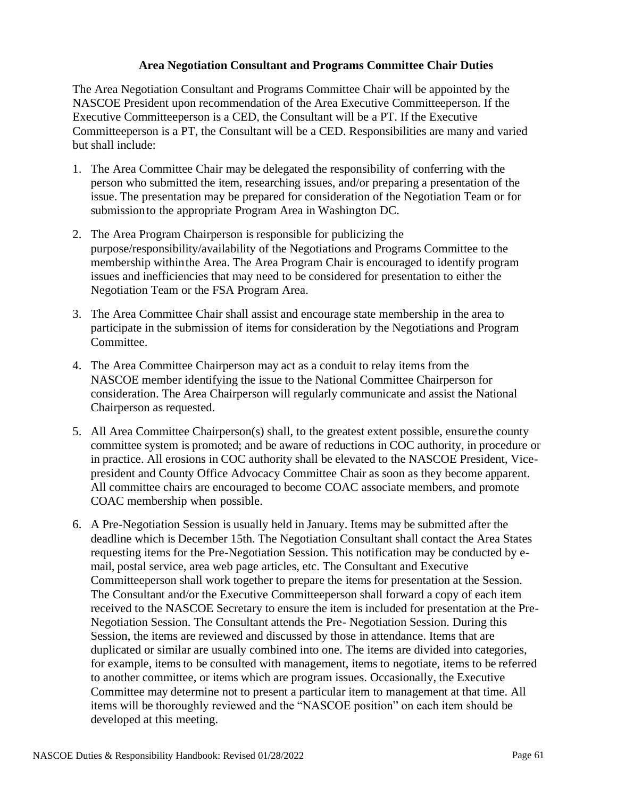#### **Area Negotiation Consultant and Programs Committee Chair Duties**

<span id="page-60-0"></span>The Area Negotiation Consultant and Programs Committee Chair will be appointed by the NASCOE President upon recommendation of the Area Executive Committeeperson. If the Executive Committeeperson is a CED, the Consultant will be a PT. If the Executive Committeeperson is a PT, the Consultant will be a CED. Responsibilities are many and varied but shall include:

- 1. The Area Committee Chair may be delegated the responsibility of conferring with the person who submitted the item, researching issues, and/or preparing a presentation of the issue. The presentation may be prepared for consideration of the Negotiation Team or for submissionto the appropriate Program Area in Washington DC.
- 2. The Area Program Chairperson is responsible for publicizing the purpose/responsibility/availability of the Negotiations and Programs Committee to the membership withinthe Area. The Area Program Chair is encouraged to identify program issues and inefficiencies that may need to be considered for presentation to either the Negotiation Team or the FSA Program Area.
- 3. The Area Committee Chair shall assist and encourage state membership in the area to participate in the submission of items for consideration by the Negotiations and Program Committee.
- 4. The Area Committee Chairperson may act as a conduit to relay items from the NASCOE member identifying the issue to the National Committee Chairperson for consideration. The Area Chairperson will regularly communicate and assist the National Chairperson as requested.
- 5. All Area Committee Chairperson(s) shall, to the greatest extent possible, ensurethe county committee system is promoted; and be aware of reductions in COC authority, in procedure or in practice. All erosions in COC authority shall be elevated to the NASCOE President, Vicepresident and County Office Advocacy Committee Chair as soon as they become apparent. All committee chairs are encouraged to become COAC associate members, and promote COAC membership when possible.
- 6. A Pre-Negotiation Session is usually held in January. Items may be submitted after the deadline which is December 15th. The Negotiation Consultant shall contact the Area States requesting items for the Pre-Negotiation Session. This notification may be conducted by email, postal service, area web page articles, etc. The Consultant and Executive Committeeperson shall work together to prepare the items for presentation at the Session. The Consultant and/or the Executive Committeeperson shall forward a copy of each item received to the NASCOE Secretary to ensure the item is included for presentation at the Pre-Negotiation Session. The Consultant attends the Pre- Negotiation Session. During this Session, the items are reviewed and discussed by those in attendance. Items that are duplicated or similar are usually combined into one. The items are divided into categories, for example, items to be consulted with management, items to negotiate, items to be referred to another committee, or items which are program issues. Occasionally, the Executive Committee may determine not to present a particular item to management at that time. All items will be thoroughly reviewed and the "NASCOE position" on each item should be developed at this meeting.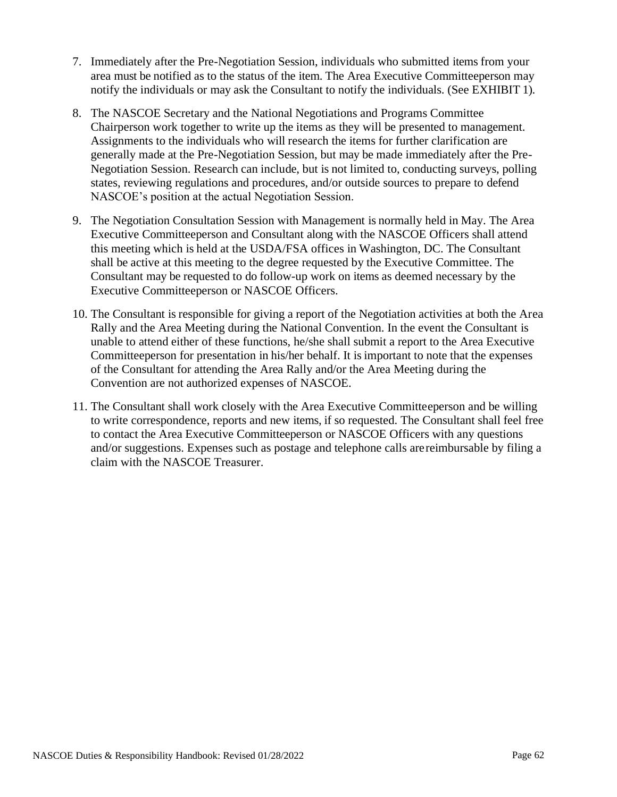- 7. Immediately after the Pre-Negotiation Session, individuals who submitted items from your area must be notified as to the status of the item. The Area Executive Committeeperson may notify the individuals or may ask the Consultant to notify the individuals. (See EXHIBIT 1).
- 8. The NASCOE Secretary and the National Negotiations and Programs Committee Chairperson work together to write up the items as they will be presented to management. Assignments to the individuals who will research the items for further clarification are generally made at the Pre-Negotiation Session, but may be made immediately after the Pre-Negotiation Session. Research can include, but is not limited to, conducting surveys, polling states, reviewing regulations and procedures, and/or outside sources to prepare to defend NASCOE's position at the actual Negotiation Session.
- 9. The Negotiation Consultation Session with Management is normally held in May. The Area Executive Committeeperson and Consultant along with the NASCOE Officers shall attend this meeting which is held at the USDA/FSA offices in Washington, DC. The Consultant shall be active at this meeting to the degree requested by the Executive Committee. The Consultant may be requested to do follow-up work on items as deemed necessary by the Executive Committeeperson or NASCOE Officers.
- 10. The Consultant is responsible for giving a report of the Negotiation activities at both the Area Rally and the Area Meeting during the National Convention. In the event the Consultant is unable to attend either of these functions, he/she shall submit a report to the Area Executive Committeeperson for presentation in his/her behalf. It is important to note that the expenses of the Consultant for attending the Area Rally and/or the Area Meeting during the Convention are not authorized expenses of NASCOE.
- 11. The Consultant shall work closely with the Area Executive Committeeperson and be willing to write correspondence, reports and new items, if so requested. The Consultant shall feel free to contact the Area Executive Committeeperson or NASCOE Officers with any questions and/or suggestions. Expenses such as postage and telephone calls arereimbursable by filing a claim with the NASCOE Treasurer.